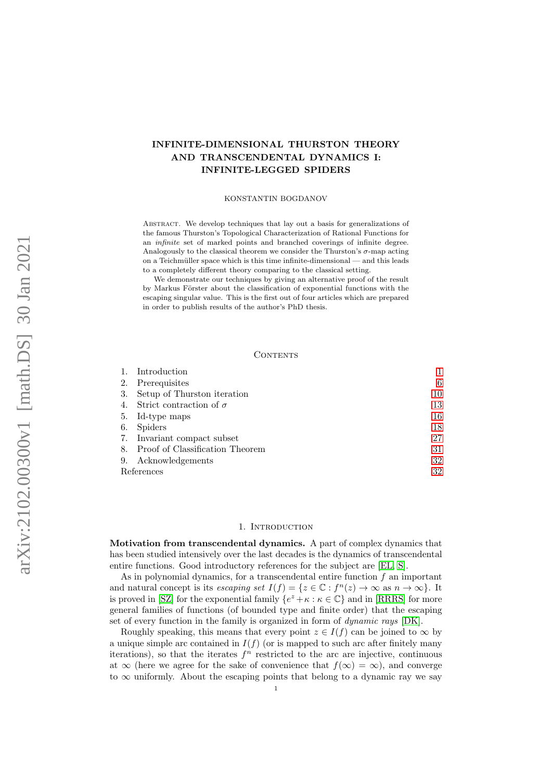# INFINITE-DIMENSIONAL THURSTON THEORY AND TRANSCENDENTAL DYNAMICS I: INFINITE-LEGGED SPIDERS

#### KONSTANTIN BOGDANOV

ABSTRACT. We develop techniques that lay out a basis for generalizations of the famous Thurston's Topological Characterization of Rational Functions for an infinite set of marked points and branched coverings of infinite degree. Analogously to the classical theorem we consider the Thurston's  $\sigma$ -map acting on a Teichmüller space which is this time infinite-dimensional — and this leads to a completely different theory comparing to the classical setting.

We demonstrate our techniques by giving an alternative proof of the result by Markus Förster about the classification of exponential functions with the escaping singular value. This is the first out of four articles which are prepared in order to publish results of the author's PhD thesis.

#### CONTENTS

|            | Introduction                       |    |
|------------|------------------------------------|----|
| 2.         | Prerequisites                      | 6  |
| 3.         | Setup of Thurston iteration        | 10 |
| 4.         | Strict contraction of $\sigma$     | 13 |
|            | 5. Id-type maps                    | 16 |
| 6.         | Spiders                            | 18 |
|            | 7. Invariant compact subset        | 27 |
|            | 8. Proof of Classification Theorem | 31 |
| 9.         | Acknowledgements                   | 32 |
| References |                                    | 32 |

#### 1. INTRODUCTION

<span id="page-0-0"></span>Motivation from transcendental dynamics. A part of complex dynamics that has been studied intensively over the last decades is the dynamics of transcendental entire functions. Good introductory references for the subject are [\[EL,](#page-32-0) [S\]](#page-32-1).

As in polynomial dynamics, for a transcendental entire function  $f$  an important and natural concept is its escaping set  $I(f) = \{z \in \mathbb{C} : f^n(z) \to \infty \text{ as } n \to \infty\}$ . It is proved in [\[SZ\]](#page-32-2) for the exponential family  $\{e^z + \kappa : \kappa \in \mathbb{C}\}\)$  and in [\[RRRS\]](#page-32-3) for more general families of functions (of bounded type and finite order) that the escaping set of every function in the family is organized in form of *dynamic rays* [\[DK\]](#page-32-4).

Roughly speaking, this means that every point  $z \in I(f)$  can be joined to  $\infty$  by a unique simple arc contained in  $I(f)$  (or is mapped to such arc after finitely many iterations), so that the iterates  $f<sup>n</sup>$  restricted to the arc are injective, continuous at  $\infty$  (here we agree for the sake of convenience that  $f(\infty) = \infty$ ), and converge to  $\infty$  uniformly. About the escaping points that belong to a dynamic ray we say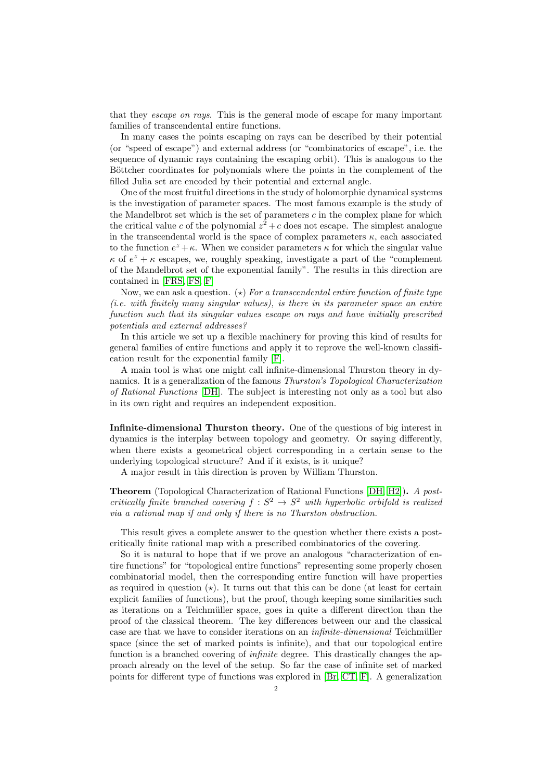that they escape on rays. This is the general mode of escape for many important families of transcendental entire functions.

In many cases the points escaping on rays can be described by their potential (or "speed of escape") and external address (or "combinatorics of escape", i.e. the sequence of dynamic rays containing the escaping orbit). This is analogous to the Böttcher coordinates for polynomials where the points in the complement of the filled Julia set are encoded by their potential and external angle.

One of the most fruitful directions in the study of holomorphic dynamical systems is the investigation of parameter spaces. The most famous example is the study of the Mandelbrot set which is the set of parameters  $c$  in the complex plane for which the critical value c of the polynomial  $z^2 + c$  does not escape. The simplest analogue in the transcendental world is the space of complex parameters  $\kappa$ , each associated to the function  $e^z + \kappa$ . When we consider parameters  $\kappa$  for which the singular value  $\kappa$  of  $e^z + \kappa$  escapes, we, roughly speaking, investigate a part of the "complement" of the Mandelbrot set of the exponential family". The results in this direction are contained in [\[FRS,](#page-32-5) [FS,](#page-32-6) [F\]](#page-32-7)

Now, we can ask a question. ( $\star$ ) For a transcendental entire function of finite type (i.e. with finitely many singular values), is there in its parameter space an entire function such that its singular values escape on rays and have initially prescribed potentials and external addresses?

In this article we set up a flexible machinery for proving this kind of results for general families of entire functions and apply it to reprove the well-known classification result for the exponential family [\[F\]](#page-32-7).

A main tool is what one might call infinite-dimensional Thurston theory in dynamics. It is a generalization of the famous Thurston's Topological Characterization of Rational Functions [\[DH\]](#page-32-8). The subject is interesting not only as a tool but also in its own right and requires an independent exposition.

Infinite-dimensional Thurston theory. One of the questions of big interest in dynamics is the interplay between topology and geometry. Or saying differently, when there exists a geometrical object corresponding in a certain sense to the underlying topological structure? And if it exists, is it unique?

A major result in this direction is proven by William Thurston.

Theorem (Topological Characterization of Rational Functions [\[DH,](#page-32-8) [H2\]](#page-32-9)). A postcritically finite branched covering  $f : S^2 \to S^2$  with hyperbolic orbifold is realized via a rational map if and only if there is no Thurston obstruction.

This result gives a complete answer to the question whether there exists a postcritically finite rational map with a prescribed combinatorics of the covering.

So it is natural to hope that if we prove an analogous "characterization of entire functions" for "topological entire functions" representing some properly chosen combinatorial model, then the corresponding entire function will have properties as required in question  $(x)$ . It turns out that this can be done (at least for certain explicit families of functions), but the proof, though keeping some similarities such as iterations on a Teichmüller space, goes in quite a different direction than the proof of the classical theorem. The key differences between our and the classical case are that we have to consider iterations on an  $infinite-dimensional$  Teichmüller space (since the set of marked points is infinite), and that our topological entire function is a branched covering of infinite degree. This drastically changes the approach already on the level of the setup. So far the case of infinite set of marked points for different type of functions was explored in [\[Br,](#page-32-10) [CT,](#page-32-11) [F\]](#page-32-7). A generalization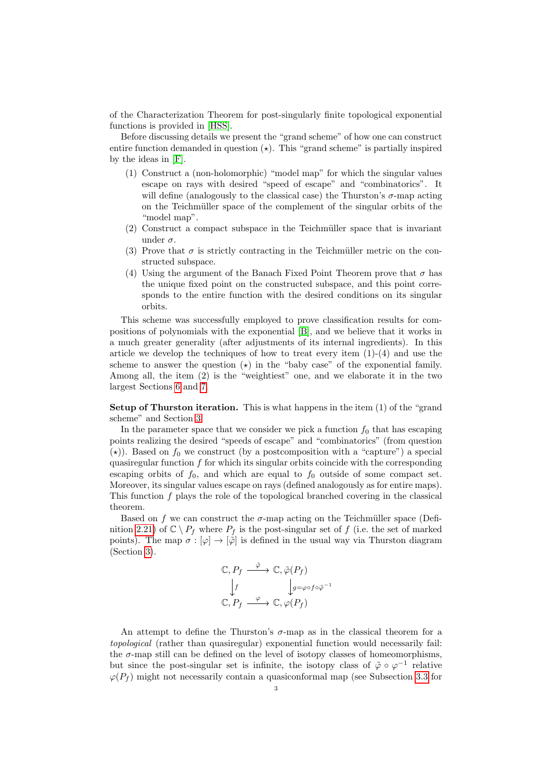of the Characterization Theorem for post-singularly finite topological exponential functions is provided in [\[HSS\]](#page-32-12).

Before discussing details we present the "grand scheme" of how one can construct entire function demanded in question  $(\star)$ . This "grand scheme" is partially inspired by the ideas in [\[F\]](#page-32-7).

- (1) Construct a (non-holomorphic) "model map" for which the singular values escape on rays with desired "speed of escape" and "combinatorics". It will define (analogously to the classical case) the Thurston's  $\sigma$ -map acting on the Teichmüller space of the complement of the singular orbits of the "model map".
- $(2)$  Construct a compact subspace in the Teichmüller space that is invariant under  $\sigma$ .
- (3) Prove that  $\sigma$  is strictly contracting in the Teichmüller metric on the constructed subspace.
- (4) Using the argument of the Banach Fixed Point Theorem prove that  $\sigma$  has the unique fixed point on the constructed subspace, and this point corresponds to the entire function with the desired conditions on its singular orbits.

This scheme was successfully employed to prove classification results for compositions of polynomials with the exponential [\[B\]](#page-32-13), and we believe that it works in a much greater generality (after adjustments of its internal ingredients). In this article we develop the techniques of how to treat every item  $(1)-(4)$  and use the scheme to answer the question  $(\star)$  in the "baby case" of the exponential family. Among all, the item (2) is the "weightiest" one, and we elaborate it in the two largest Sections [6](#page-17-0) and [7.](#page-26-0)

Setup of Thurston iteration. This is what happens in the item (1) of the "grand scheme" and Section [3.](#page-9-0)

In the parameter space that we consider we pick a function  $f_0$  that has escaping points realizing the desired "speeds of escape" and "combinatorics" (from question ( $\star$ )). Based on  $f_0$  we construct (by a postcomposition with a "capture") a special quasiregular function  $f$  for which its singular orbits coincide with the corresponding escaping orbits of  $f_0$ , and which are equal to  $f_0$  outside of some compact set. Moreover, its singular values escape on rays (defined analogously as for entire maps). This function f plays the role of the topological branched covering in the classical theorem.

Based on f we can construct the  $\sigma$ -map acting on the Teichmüller space (Defi-nition [2.21\)](#page-8-0) of  $\mathbb{C} \setminus P_f$  where  $P_f$  is the post-singular set of f (i.e. the set of marked points). The map  $\sigma : [\varphi] \to [\varphi]$  is defined in the usual way via Thurston diagram (Section [3\)](#page-9-0).

$$
\mathbb{C}, P_f \xrightarrow{\tilde{\varphi}} \mathbb{C}, \tilde{\varphi}(P_f)
$$
  
\n
$$
\downarrow f \qquad \qquad \downarrow g = \varphi \circ f \circ \tilde{\varphi}^{-1}
$$
  
\n
$$
\mathbb{C}, P_f \xrightarrow{\varphi} \mathbb{C}, \varphi(P_f)
$$

An attempt to define the Thurston's  $\sigma$ -map as in the classical theorem for a topological (rather than quasiregular) exponential function would necessarily fail: the  $\sigma$ -map still can be defined on the level of isotopy classes of homeomorphisms, but since the post-singular set is infinite, the isotopy class of  $\tilde{\varphi} \circ \varphi^{-1}$  relative  $\varphi(P_f)$  might not necessarily contain a quasiconformal map (see Subsection [3.3](#page-11-0) for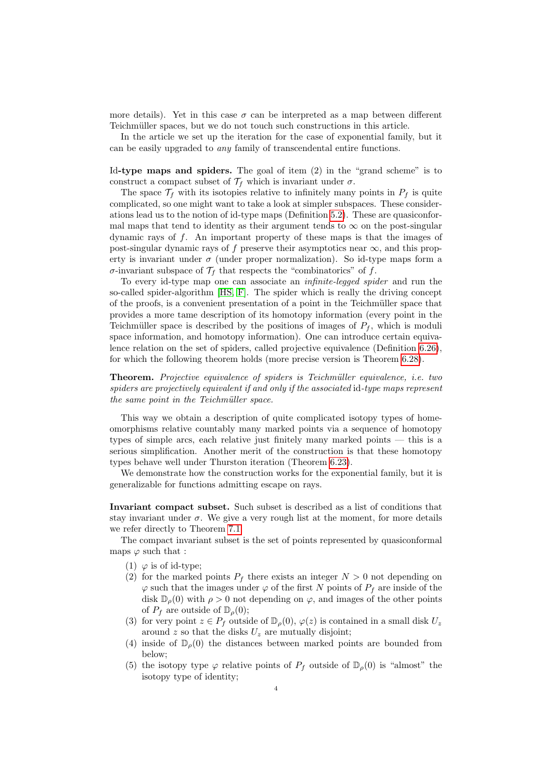more details). Yet in this case  $\sigma$  can be interpreted as a map between different Teichmüller spaces, but we do not touch such constructions in this article.

In the article we set up the iteration for the case of exponential family, but it can be easily upgraded to any family of transcendental entire functions.

Id-type maps and spiders. The goal of item (2) in the "grand scheme" is to construct a compact subset of  $\mathcal{T}_f$  which is invariant under  $\sigma$ .

The space  $\mathcal{T}_f$  with its isotopies relative to infinitely many points in  $P_f$  is quite complicated, so one might want to take a look at simpler subspaces. These considerations lead us to the notion of id-type maps (Definition [5.2\)](#page-15-1). These are quasiconformal maps that tend to identity as their argument tends to  $\infty$  on the post-singular dynamic rays of f. An important property of these maps is that the images of post-singular dynamic rays of f preserve their asymptotics near  $\infty$ , and this property is invariant under  $\sigma$  (under proper normalization). So id-type maps form a σ-invariant subspace of  $\mathcal{T}_f$  that respects the "combinatorics" of f.

To every id-type map one can associate an infinite-legged spider and run the so-called spider-algorithm [\[HS,](#page-32-14) [F\]](#page-32-7). The spider which is really the driving concept of the proofs, is a convenient presentation of a point in the Teichmüller space that provides a more tame description of its homotopy information (every point in the Teichmüller space is described by the positions of images of  $P_f$ , which is moduli space information, and homotopy information). One can introduce certain equivalence relation on the set of spiders, called projective equivalence (Definition [6.26\)](#page-25-0), for which the following theorem holds (more precise version is Theorem [6.28\)](#page-26-1).

Theorem. Projective equivalence of spiders is Teichmüller equivalence, i.e. two spiders are projectively equivalent if and only if the associated id-type maps represent the same point in the Teichmüller space.

This way we obtain a description of quite complicated isotopy types of homeomorphisms relative countably many marked points via a sequence of homotopy types of simple arcs, each relative just finitely many marked points — this is a serious simplification. Another merit of the construction is that these homotopy types behave well under Thurston iteration (Theorem [6.23\)](#page-24-0).

We demonstrate how the construction works for the exponential family, but it is generalizable for functions admitting escape on rays.

Invariant compact subset. Such subset is described as a list of conditions that stay invariant under  $\sigma$ . We give a very rough list at the moment, for more details we refer directly to Theorem [7.1.](#page-26-2)

The compact invariant subset is the set of points represented by quasiconformal maps  $\varphi$  such that :

- (1)  $\varphi$  is of id-type;
- (2) for the marked points  $P_f$  there exists an integer  $N > 0$  not depending on  $\varphi$  such that the images under  $\varphi$  of the first N points of  $P_f$  are inside of the disk  $\mathbb{D}_{\rho}(0)$  with  $\rho > 0$  not depending on  $\varphi$ , and images of the other points of  $P_f$  are outside of  $\mathbb{D}_{\rho}(0)$ ;
- (3) for very point  $z \in P_f$  outside of  $\mathbb{D}_{\rho}(0), \varphi(z)$  is contained in a small disk  $U_z$ around z so that the disks  $U_z$  are mutually disjoint;
- (4) inside of  $\mathbb{D}_{q}(0)$  the distances between marked points are bounded from below;
- (5) the isotopy type  $\varphi$  relative points of  $P_f$  outside of  $\mathbb{D}_{\rho}(0)$  is "almost" the isotopy type of identity;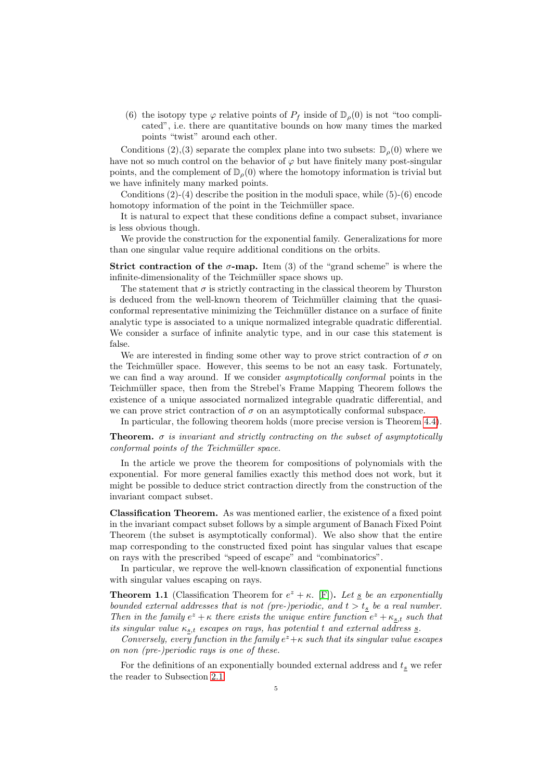(6) the isotopy type  $\varphi$  relative points of  $P_f$  inside of  $\mathbb{D}_{\rho}(0)$  is not "too complicated", i.e. there are quantitative bounds on how many times the marked points "twist" around each other.

Conditions (2), (3) separate the complex plane into two subsets:  $\mathbb{D}_{q}(0)$  where we have not so much control on the behavior of  $\varphi$  but have finitely many post-singular points, and the complement of  $\mathbb{D}_{\rho}(0)$  where the homotopy information is trivial but we have infinitely many marked points.

Conditions  $(2)-(4)$  describe the position in the moduli space, while  $(5)-(6)$  encode homotopy information of the point in the Teichmüller space.

It is natural to expect that these conditions define a compact subset, invariance is less obvious though.

We provide the construction for the exponential family. Generalizations for more than one singular value require additional conditions on the orbits.

**Strict contraction of the**  $\sigma$ **-map.** Item (3) of the "grand scheme" is where the infinite-dimensionality of the Teichmüller space shows up.

The statement that  $\sigma$  is strictly contracting in the classical theorem by Thurston is deduced from the well-known theorem of Teichmüller claiming that the quasiconformal representative minimizing the Teichmüller distance on a surface of finite analytic type is associated to a unique normalized integrable quadratic differential. We consider a surface of infinite analytic type, and in our case this statement is false.

We are interested in finding some other way to prove strict contraction of  $\sigma$  on the Teichmüller space. However, this seems to be not an easy task. Fortunately, we can find a way around. If we consider asymptotically conformal points in the Teichmüller space, then from the Strebel's Frame Mapping Theorem follows the existence of a unique associated normalized integrable quadratic differential, and we can prove strict contraction of  $\sigma$  on an asymptotically conformal subspace.

In particular, the following theorem holds (more precise version is Theorem [4.4\)](#page-15-2).

**Theorem.**  $\sigma$  is invariant and strictly contracting on the subset of asymptotically conformal points of the Teichmüller space.

In the article we prove the theorem for compositions of polynomials with the exponential. For more general families exactly this method does not work, but it might be possible to deduce strict contraction directly from the construction of the invariant compact subset.

Classification Theorem. As was mentioned earlier, the existence of a fixed point in the invariant compact subset follows by a simple argument of Banach Fixed Point Theorem (the subset is asymptotically conformal). We also show that the entire map corresponding to the constructed fixed point has singular values that escape on rays with the prescribed "speed of escape" and "combinatorics".

In particular, we reprove the well-known classification of exponential functions with singular values escaping on rays.

<span id="page-4-0"></span>**Theorem 1.1** (Classification Theorem for  $e^z + \kappa$ . [\[F\]](#page-32-7)). Let  $\underline{s}$  be an exponentially bounded external addresses that is not (pre-)periodic, and  $t > t_s$  be a real number. Then in the family  $e^z + \kappa$  there exists the unique entire function  $e^z + \kappa_{s,t}$  such that its singular value  $\kappa_{s,t}$  escapes on rays, has potential t and external address  $\underline{s}$ .

Conversely, every function in the family  $e^z+\kappa$  such that its singular value escapes on non (pre-)periodic rays is one of these.

For the definitions of an exponentially bounded external address and  $t_s$  we refer the reader to Subsection [2.1.](#page-5-1)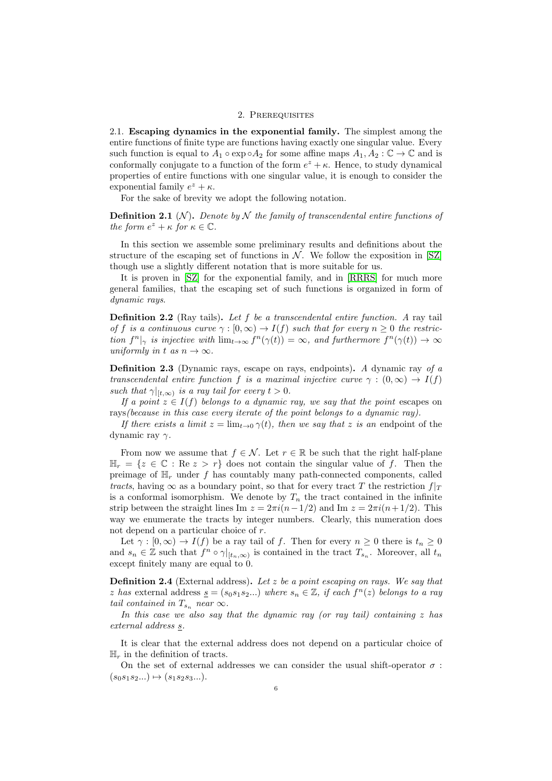#### 2. PREREQUISITES

<span id="page-5-1"></span><span id="page-5-0"></span>2.1. Escaping dynamics in the exponential family. The simplest among the entire functions of finite type are functions having exactly one singular value. Every such function is equal to  $A_1 \circ \exp \circ A_2$  for some affine maps  $A_1, A_2 : \mathbb{C} \to \mathbb{C}$  and is conformally conjugate to a function of the form  $e^z + \kappa$ . Hence, to study dynamical properties of entire functions with one singular value, it is enough to consider the exponential family  $e^z + \kappa$ .

For the sake of brevity we adopt the following notation.

**Definition 2.1** (N). Denote by N the family of transcendental entire functions of the form  $e^z + \kappa$  for  $\kappa \in \mathbb{C}$ .

In this section we assemble some preliminary results and definitions about the structure of the escaping set of functions in  $N$ . We follow the exposition in [\[SZ\]](#page-32-2) though use a slightly different notation that is more suitable for us.

It is proven in [\[SZ\]](#page-32-2) for the exponential family, and in [\[RRRS\]](#page-32-3) for much more general families, that the escaping set of such functions is organized in form of dynamic rays.

Definition 2.2 (Ray tails). Let f be a transcendental entire function. A ray tail of f is a continuous curve  $\gamma : [0, \infty) \to I(f)$  such that for every  $n \geq 0$  the restriction  $f^{n}|_{\gamma}$  is injective with  $\lim_{t\to\infty} f^{n}(\gamma(t)) = \infty$ , and furthermore  $f^{n}(\gamma(t)) \to \infty$ uniformly in t as  $n \to \infty$ .

Definition 2.3 (Dynamic rays, escape on rays, endpoints). A dynamic ray of a transcendental entire function f is a maximal injective curve  $\gamma : (0, \infty) \to I(f)$ such that  $\gamma|_{[t,\infty)}$  is a ray tail for every  $t > 0$ .

If a point  $z \in I(f)$  belongs to a dynamic ray, we say that the point escapes on rays(because in this case every iterate of the point belongs to a dynamic ray).

If there exists a limit  $z = \lim_{t\to 0} \gamma(t)$ , then we say that z is an endpoint of the dynamic ray  $\gamma$ .

From now we assume that  $f \in \mathcal{N}$ . Let  $r \in \mathbb{R}$  be such that the right half-plane  $\mathbb{H}_r = \{z \in \mathbb{C} : \text{Re } z > r\}$  does not contain the singular value of f. Then the preimage of  $\mathbb{H}_r$  under f has countably many path-connected components, called tracts, having  $\infty$  as a boundary point, so that for every tract T the restriction  $f|_T$ is a conformal isomorphism. We denote by  $T_n$  the tract contained in the infinite strip between the straight lines Im  $z = 2\pi i(n-1/2)$  and Im  $z = 2\pi i(n+1/2)$ . This way we enumerate the tracts by integer numbers. Clearly, this numeration does not depend on a particular choice of r.

Let  $\gamma : [0, \infty) \to I(f)$  be a ray tail of f. Then for every  $n \geq 0$  there is  $t_n \geq 0$ and  $s_n \in \mathbb{Z}$  such that  $f^n \circ \gamma|_{[t_n,\infty)}$  is contained in the tract  $T_{s_n}$ . Moreover, all  $t_n$ except finitely many are equal to 0.

**Definition 2.4** (External address). Let z be a point escaping on rays. We say that z has external address  $\underline{s} = (s_0s_1s_2...)$  where  $s_n \in \mathbb{Z}$ , if each  $f^n(z)$  belongs to a ray tail contained in  $T_{s_n}$  near  $\infty$ .

In this case we also say that the dynamic ray (or ray tail) containing  $z$  has external address s.

It is clear that the external address does not depend on a particular choice of  $\mathbb{H}_r$  in the definition of tracts.

On the set of external addresses we can consider the usual shift-operator  $\sigma$ :  $(s_0s_1s_2...) \mapsto (s_1s_2s_3...).$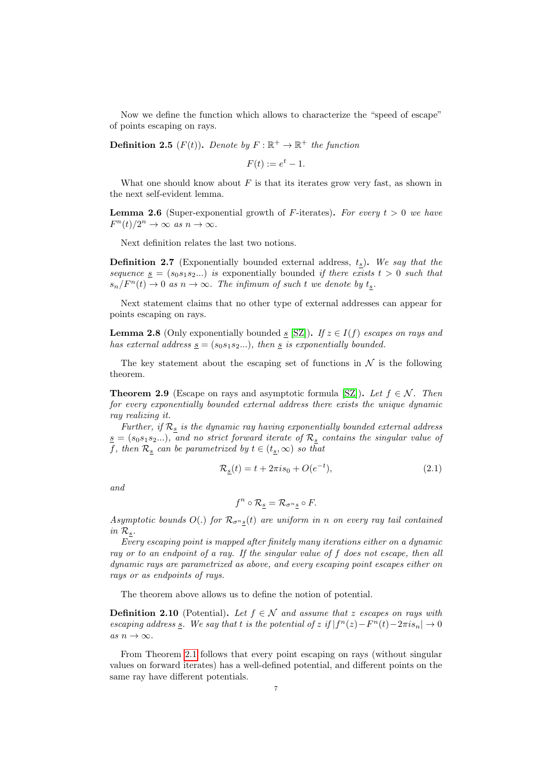Now we define the function which allows to characterize the "speed of escape" of points escaping on rays.

**Definition 2.5** ( $F(t)$ ). Denote by  $F : \mathbb{R}^+ \to \mathbb{R}^+$  the function

$$
F(t) := e^t - 1.
$$

What one should know about  $F$  is that its iterates grow very fast, as shown in the next self-evident lemma.

**Lemma 2.6** (Super-exponential growth of F-iterates). For every  $t > 0$  we have  $F^{n}(t)/2^{n} \to \infty \text{ as } n \to \infty.$ 

Next definition relates the last two notions.

**Definition 2.7** (Exponentially bounded external address,  $t_s$ ). We say that the sequence  $s = (s_0s_1s_2...)$  is exponentially bounded if there exists  $t > 0$  such that  $s_n/F^n(t) \to 0$  as  $n \to \infty$ . The infimum of such t we denote by  $t_s$ .

Next statement claims that no other type of external addresses can appear for points escaping on rays.

**Lemma 2.8** (Only exponentially bounded s [\[SZ\]](#page-32-2)). If  $z \in I(f)$  escapes on rays and has external address  $s = (s_0s_1s_2...),$  then s is exponentially bounded.

The key statement about the escaping set of functions in  $\mathcal N$  is the following theorem.

<span id="page-6-1"></span>**Theorem 2.9** (Escape on rays and asymptotic formula [\[SZ\]](#page-32-2)). Let  $f \in \mathcal{N}$ . Then for every exponentially bounded external address there exists the unique dynamic ray realizing it.

Further, if  $\mathcal{R}_{\underline{s}}$  is the dynamic ray having exponentially bounded external address  $s = (s_0s_1s_2...)$ , and no strict forward iterate of  $\mathcal{R}_s$  contains the singular value of f, then  $\mathcal{R}_{\underline{s}}$  can be parametrized by  $t \in (t_{\underline{s}}, \infty)$  so that

<span id="page-6-0"></span>
$$
\mathcal{R}_{\underline{s}}(t) = t + 2\pi i s_0 + O(e^{-t}),\tag{2.1}
$$

and

$$
f^n \circ \mathcal{R}_s = \mathcal{R}_{\sigma^n s} \circ F.
$$

Asymptotic bounds  $O(.)$  for  $\mathcal{R}_{\sigma^{n}s}(t)$  are uniform in n on every ray tail contained  $in$   $\mathcal{R}_s.$ 

Every escaping point is mapped after finitely many iterations either on a dynamic ray or to an endpoint of a ray. If the singular value of f does not escape, then all dynamic rays are parametrized as above, and every escaping point escapes either on rays or as endpoints of rays.

The theorem above allows us to define the notion of potential.

**Definition 2.10** (Potential). Let  $f \in \mathcal{N}$  and assume that z escapes on rays with escaping address  $\underline{s}$ . We say that t is the potential of z if  $|f^n(z) - F^n(t) - 2\pi i s_n| \to 0$ as  $n \to \infty$ .

From Theorem [2.1](#page-6-0) follows that every point escaping on rays (without singular values on forward iterates) has a well-defined potential, and different points on the same ray have different potentials.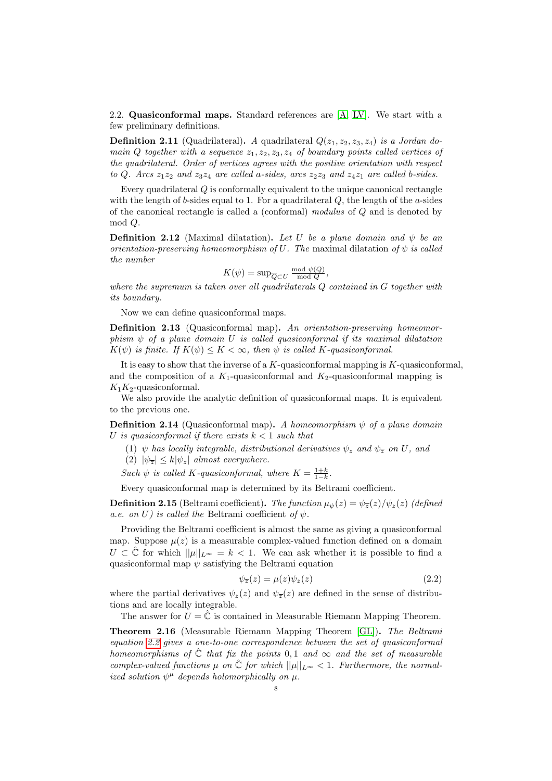2.2. Quasiconformal maps. Standard references are [\[A,](#page-31-2) [LV\]](#page-32-15). We start with a few preliminary definitions.

**Definition 2.11** (Quadrilateral). A quadrilateral  $Q(z_1, z_2, z_3, z_4)$  is a Jordan domain Q together with a sequence  $z_1, z_2, z_3, z_4$  of boundary points called vertices of the quadrilateral. Order of vertices agrees with the positive orientation with respect to Q. Arcs  $z_1z_2$  and  $z_3z_4$  are called a-sides, arcs  $z_2z_3$  and  $z_4z_1$  are called b-sides.

Every quadrilateral Q is conformally equivalent to the unique canonical rectangle with the length of b-sides equal to 1. For a quadrilateral  $Q$ , the length of the a-sides of the canonical rectangle is called a (conformal) modulus of Q and is denoted by mod Q.

**Definition 2.12** (Maximal dilatation). Let U be a plane domain and  $\psi$  be an orientation-preserving homeomorphism of U. The maximal dilatation of  $\psi$  is called the number

$$
K(\psi) = \sup \overline{Q}_C U \frac{\text{mod } \psi(Q)}{\text{mod } Q},
$$

where the supremum is taken over all quadrilaterals Q contained in G together with its boundary.

Now we can define quasiconformal maps.

Definition 2.13 (Quasiconformal map). An orientation-preserving homeomorphism  $\psi$  of a plane domain U is called quasiconformal if its maximal dilatation  $K(\psi)$  is finite. If  $K(\psi) \leq K < \infty$ , then  $\psi$  is called K-quasiconformal.

It is easy to show that the inverse of a  $K$ -quasiconformal mapping is  $K$ -quasiconformal, and the composition of a  $K_1$ -quasiconformal and  $K_2$ -quasiconformal mapping is  $K_1K_2$ -quasiconformal.

We also provide the analytic definition of quasiconformal maps. It is equivalent to the previous one.

**Definition 2.14** (Quasiconformal map). A homeomorphism  $\psi$  of a plane domain U is quasiconformal if there exists  $k < 1$  such that

- (1)  $\psi$  has locally integrable, distributional derivatives  $\psi_z$  and  $\psi_{\overline{z}}$  on U, and
- (2)  $|\psi_{\overline{z}}| \leq k |\psi_z|$  almost everywhere.

Such  $\psi$  is called K-quasiconformal, where  $K = \frac{1+k}{1-k}$ .

Every quasiconformal map is determined by its Beltrami coefficient.

**Definition 2.15** (Beltrami coefficient). The function  $\mu_{\psi}(z) = \psi_{\overline{z}}(z)/\psi_{z}(z)$  (defined a.e. on U) is called the Beltrami coefficient of  $\psi$ .

Providing the Beltrami coefficient is almost the same as giving a quasiconformal map. Suppose  $\mu(z)$  is a measurable complex-valued function defined on a domain  $U \subset \hat{\mathbb{C}}$  for which  $||\mu||_{L^{\infty}} = k < 1$ . We can ask whether it is possible to find a quasiconformal map  $\psi$  satisfying the Beltrami equation

<span id="page-7-0"></span>
$$
\psi_{\overline{z}}(z) = \mu(z)\psi_z(z) \tag{2.2}
$$

where the partial derivatives  $\psi_z(z)$  and  $\psi_{\overline{z}}(z)$  are defined in the sense of distributions and are locally integrable.

The answer for  $U = \hat{C}$  is contained in Measurable Riemann Mapping Theorem.

Theorem 2.16 (Measurable Riemann Mapping Theorem [\[GL\]](#page-32-16)). The Beltrami equation [2.2](#page-7-0) gives a one-to-one correspondence between the set of quasiconformal homeomorphisms of  $\hat{\mathbb{C}}$  that fix the points 0,1 and  $\infty$  and the set of measurable complex-valued functions  $\mu$  on  $\hat{\mathbb{C}}$  for which  $||\mu||_{L^{\infty}} < 1$ . Furthermore, the normalized solution  $\psi^{\mu}$  depends holomorphically on  $\mu$ .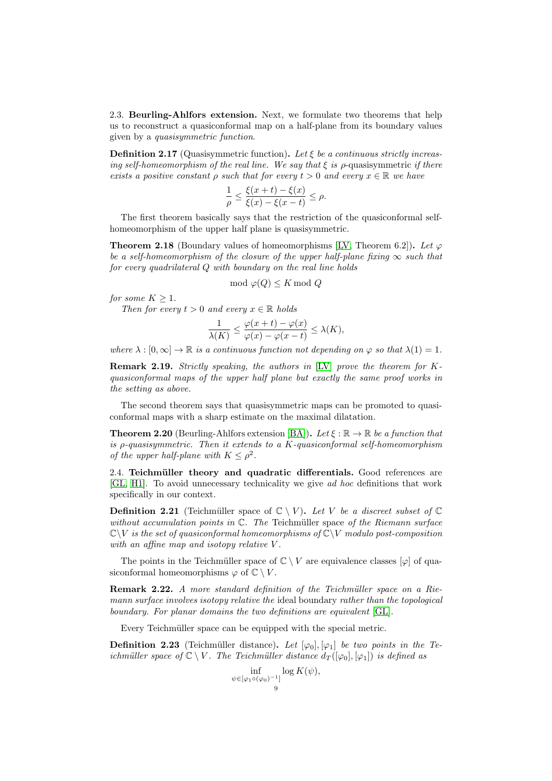2.3. Beurling-Ahlfors extension. Next, we formulate two theorems that help us to reconstruct a quasiconformal map on a half-plane from its boundary values given by a quasisymmetric function.

<span id="page-8-1"></span>**Definition 2.17** (Quasisymmetric function). Let  $\xi$  be a continuous strictly increasing self-homeomorphism of the real line. We say that  $\xi$  is  $\rho$ -quasisymmetric if there exists a positive constant  $\rho$  such that for every  $t > 0$  and every  $x \in \mathbb{R}$  we have

$$
\frac{1}{\rho} \le \frac{\xi(x+t) - \xi(x)}{\xi(x) - \xi(x-t)} \le \rho.
$$

The first theorem basically says that the restriction of the quasiconformal selfhomeomorphism of the upper half plane is quasisymmetric.

**Theorem 2.18** (Boundary values of homeomorphisms [\[LV,](#page-32-15) Theorem 6.2]). Let  $\varphi$ be a self-homeomorphism of the closure of the upper half-plane fixing  $\infty$  such that for every quadrilateral Q with boundary on the real line holds

$$
\mod \varphi(Q) \leq K \mod Q
$$

for some  $K \geq 1$ .

Then for every  $t > 0$  and every  $x \in \mathbb{R}$  holds

$$
\frac{1}{\lambda(K)} \le \frac{\varphi(x+t) - \varphi(x)}{\varphi(x) - \varphi(x-t)} \le \lambda(K),
$$

where  $\lambda : [0, \infty] \to \mathbb{R}$  is a continuous function not depending on  $\varphi$  so that  $\lambda(1) = 1$ .

**Remark 2.19.** Strictly speaking, the authors in [\[LV\]](#page-32-15) prove the theorem for  $K$ quasiconformal maps of the upper half plane but exactly the same proof works in the setting as above.

The second theorem says that quasisymmetric maps can be promoted to quasiconformal maps with a sharp estimate on the maximal dilatation.

<span id="page-8-2"></span>**Theorem 2.20** (Beurling-Ahlfors extension [\[BA\]](#page-32-17)). Let  $\xi : \mathbb{R} \to \mathbb{R}$  be a function that is  $\rho$ -quasisymmetric. Then it extends to a K-quasiconformal self-homeomorphism of the upper half-plane with  $K \leq \rho^2$ .

2.4. Teichmüller theory and quadratic differentials. Good references are [\[GL,](#page-32-16) [H1\]](#page-32-18). To avoid unnecessary technicality we give ad hoc definitions that work specifically in our context.

<span id="page-8-0"></span>**Definition 2.21** (Teichmüller space of  $\mathbb{C} \setminus V$ ). Let V be a discreet subset of  $\mathbb{C}$ without accumulation points in  $\mathbb{C}$ . The Teichmüller space of the Riemann surface  $\mathbb{C}\backslash V$  is the set of quasiconformal homeomorphisms of  $\mathbb{C}\backslash V$  modulo post-composition with an affine map and isotopy relative V.

The points in the Teichmüller space of  $\mathbb{C} \setminus V$  are equivalence classes  $[\varphi]$  of quasiconformal homeomorphisms  $\varphi$  of  $\mathbb{C} \setminus V$ .

Remark 2.22. A more standard definition of the Teichmüller space on a Riemann surface involves isotopy relative the ideal boundary rather than the topological boundary. For planar domains the two definitions are equivalent [\[GL\]](#page-32-16).

Every Teichmüller space can be equipped with the special metric.

**Definition 2.23** (Teichmüller distance). Let  $[\varphi_0], [\varphi_1]$  be two points in the Teichmüller space of  $\mathbb{C} \setminus V$ . The Teichmüller distance  $d_T([\varphi_0], [\varphi_1])$  is defined as

$$
\inf_{\psi \in [\varphi_1 \circ (\varphi_0)^{-1}]} \log K(\psi),
$$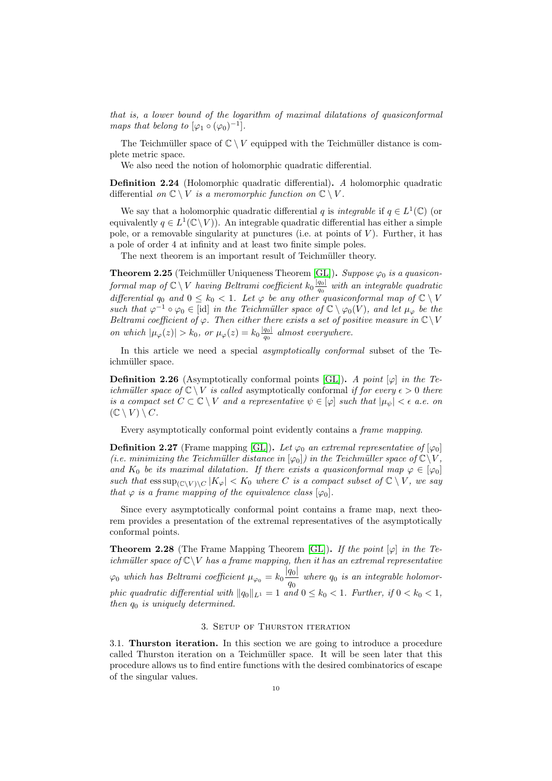that is, a lower bound of the logarithm of maximal dilatations of quasiconformal maps that belong to  $[\varphi_1 \circ (\varphi_0)^{-1}].$ 

The Teichmüller space of  $\mathbb{C} \setminus V$  equipped with the Teichmüller distance is complete metric space.

We also need the notion of holomorphic quadratic differential.

Definition 2.24 (Holomorphic quadratic differential). A holomorphic quadratic differential on  $\mathbb{C} \setminus V$  is a meromorphic function on  $\mathbb{C} \setminus V$ .

We say that a holomorphic quadratic differential q is *integrable* if  $q \in L^1(\mathbb{C})$  (or equivalently  $q \in L^1(\mathbb{C}\setminus V)$ . An integrable quadratic differential has either a simple pole, or a removable singularity at punctures (i.e. at points of  $V$ ). Further, it has a pole of order 4 at infinity and at least two finite simple poles.

The next theorem is an important result of Teichmüller theory.

<span id="page-9-4"></span>**Theorem 2.25** (Teichmüller Uniqueness Theorem [\[GL\]](#page-32-16)). Suppose  $\varphi_0$  is a quasiconformal map of  $\mathbb{C} \setminus V$  having Beltrami coefficient  $k_0 \frac{|q_0|}{q_0}$  $\frac{q_{01}}{q_{0}}$  with an integrable quadratic differential  $q_0$  and  $0 \leq k_0 < 1$ . Let  $\varphi$  be any other quasiconformal map of  $\mathbb{C} \setminus V$ such that  $\varphi^{-1} \circ \varphi_0 \in [\text{id}]$  in the Teichmüller space of  $\mathbb{C} \setminus \varphi_0(V)$ , and let  $\mu_{\varphi}$  be the Beltrami coefficient of  $\varphi$ . Then either there exists a set of positive measure in  $\mathbb{C}\setminus V$ on which  $|\mu_{\varphi}(z)| > k_0$ , or  $\mu_{\varphi}(z) = k_0 \frac{|q_0|}{q_0}$  $\frac{q_{01}}{q_{0}}$  almost everywhere.

In this article we need a special *asymptotically conformal* subset of the Teichmüller space.

<span id="page-9-1"></span>**Definition 2.26** (Asymptotically conformal points [\[GL\]](#page-32-16)). A point  $[\varphi]$  in the Teichmüller space of  $\mathbb{C} \setminus V$  is called asymptotically conformal if for every  $\epsilon > 0$  there is a compact set  $C \subset \mathbb{C} \setminus V$  and a representative  $\psi \in [\varphi]$  such that  $|\mu_{\psi}| < \epsilon$  a.e. on  $(\mathbb{C} \setminus V) \setminus C$ .

Every asymptotically conformal point evidently contains a frame mapping.

**Definition 2.27** (Frame mapping [\[GL\]](#page-32-16)). Let  $\varphi_0$  an extremal representative of  $[\varphi_0]$ (i.e. minimizing the Teichmüller distance in  $[\varphi_0]$ ) in the Teichmüller space of  $\mathbb{C}\setminus V$ , and  $K_0$  be its maximal dilatation. If there exists a quasiconformal map  $\varphi \in [\varphi_0]$ such that  $\operatorname{ess\,sup}_{(\mathbb{C}\setminus V)\setminus C}|K_{\varphi}| < K_0$  where C is a compact subset of  $\mathbb{C}\setminus V$ , we say that  $\varphi$  is a frame mapping of the equivalence class  $[\varphi_0]$ .

Since every asymptotically conformal point contains a frame map, next theorem provides a presentation of the extremal representatives of the asymptotically conformal points.

<span id="page-9-3"></span>**Theorem 2.28** (The Frame Mapping Theorem [\[GL\]](#page-32-16)). If the point  $[\varphi]$  in the Teichmüller space of  $\mathbb{C}\backslash V$  has a frame mapping, then it has an extremal representative  $\varphi_0$  which has Beltrami coefficient  $\mu_{\varphi_0} = k_0 \frac{|q_0|}{q}$  $\frac{q_{01}}{q_{0}}$  where  $q_{0}$  is an integrable holomorphic quadratic differential with  $||q_0||_{L^1} = 1$  and  $0 \le k_0 < 1$ . Further, if  $0 < k_0 < 1$ , then  $q_0$  is uniquely determined.

## 3. Setup of Thurston iteration

<span id="page-9-2"></span><span id="page-9-0"></span>3.1. Thurston iteration. In this section we are going to introduce a procedure called Thurston iteration on a Teichmüller space. It will be seen later that this procedure allows us to find entire functions with the desired combinatorics of escape of the singular values.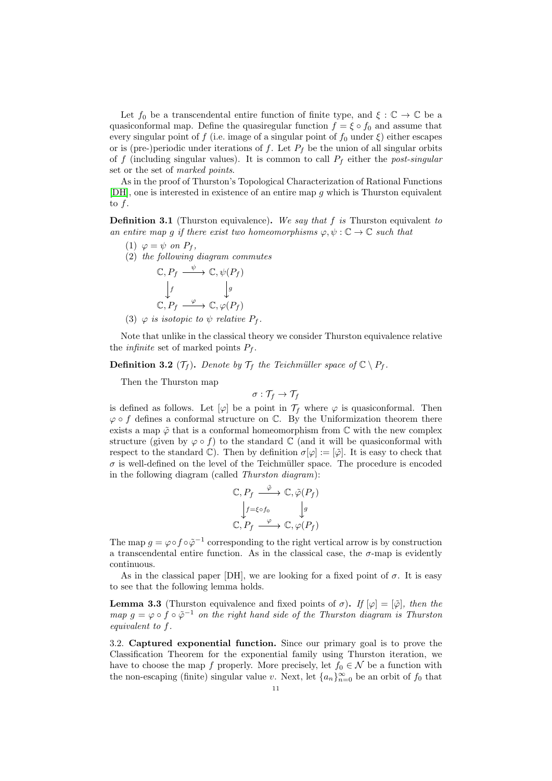Let  $f_0$  be a transcendental entire function of finite type, and  $\xi : \mathbb{C} \to \mathbb{C}$  be a quasiconformal map. Define the quasiregular function  $f = \xi \circ f_0$  and assume that every singular point of f (i.e. image of a singular point of  $f_0$  under  $\xi$ ) either escapes or is (pre-)periodic under iterations of  $f$ . Let  $P_f$  be the union of all singular orbits of f (including singular values). It is common to call  $P_f$  either the post-singular set or the set of marked points.

As in the proof of Thurston's Topological Characterization of Rational Functions [\[DH\]](#page-32-8), one is interested in existence of an entire map g which is Thurston equivalent to f.

**Definition 3.1** (Thurston equivalence). We say that f is Thurston equivalent to an entire map g if there exist two homeomorphisms  $\varphi, \psi : \mathbb{C} \to \mathbb{C}$  such that

- (1)  $\varphi = \psi$  on  $P_f$ ,
- (2) the following diagram commutes

$$
\mathbb{C}, P_f \xrightarrow{\psi} \mathbb{C}, \psi(P_f)
$$

$$
\downarrow f \qquad \qquad \downarrow g
$$

$$
\mathbb{C}, P_f \xrightarrow{\varphi} \mathbb{C}, \varphi(P_f)
$$

(3)  $\varphi$  is isotopic to  $\psi$  relative  $P_f$ .

Note that unlike in the classical theory we consider Thurston equivalence relative the *infinite* set of marked points  $P_f$ .

**Definition 3.2** ( $\mathcal{T}_f$ ). Denote by  $\mathcal{T}_f$  the Teichmüller space of  $\mathbb{C} \setminus P_f$ .

Then the Thurston map

$$
\sigma: \mathcal{T}_f \to \mathcal{T}_f
$$

is defined as follows. Let  $[\varphi]$  be a point in  $\mathcal{T}_f$  where  $\varphi$  is quasiconformal. Then  $\varphi \circ f$  defines a conformal structure on  $\mathbb{C}$ . By the Uniformization theorem there exists a map  $\tilde{\varphi}$  that is a conformal homeomorphism from  $\mathbb C$  with the new complex structure (given by  $\varphi \circ f$ ) to the standard C (and it will be quasiconformal with respect to the standard  $\mathbb{C}$ ). Then by definition  $\sigma[\varphi] := [\tilde{\varphi}]$ . It is easy to check that  $\sigma$  is well-defined on the level of the Teichmüller space. The procedure is encoded in the following diagram (called Thurston diagram):

$$
\mathbb{C}, P_f \stackrel{\tilde{\varphi}}{\longrightarrow} \mathbb{C}, \tilde{\varphi}(P_f)
$$

$$
\downarrow_{f=\xi \circ f_0} \qquad \downarrow_g
$$

$$
\mathbb{C}, P_f \stackrel{\varphi}{\longrightarrow} \mathbb{C}, \varphi(P_f)
$$

The map  $g = \varphi \circ f \circ \tilde{\varphi}^{-1}$  corresponding to the right vertical arrow is by construction a transcendental entire function. As in the classical case, the  $\sigma$ -map is evidently continuous.

As in the classical paper [DH], we are looking for a fixed point of  $\sigma$ . It is easy to see that the following lemma holds.

**Lemma 3.3** (Thurston equivalence and fixed points of  $\sigma$ ). If  $[\varphi] = [\tilde{\varphi}]$ , then the map  $g = \varphi \circ f \circ \tilde{\varphi}^{-1}$  on the right hand side of the Thurston diagram is Thurston equivalent to f.

<span id="page-10-0"></span>3.2. Captured exponential function. Since our primary goal is to prove the Classification Theorem for the exponential family using Thurston iteration, we have to choose the map f properly. More precisely, let  $f_0 \in \mathcal{N}$  be a function with the non-escaping (finite) singular value v. Next, let  $\{a_n\}_{n=0}^{\infty}$  be an orbit of  $f_0$  that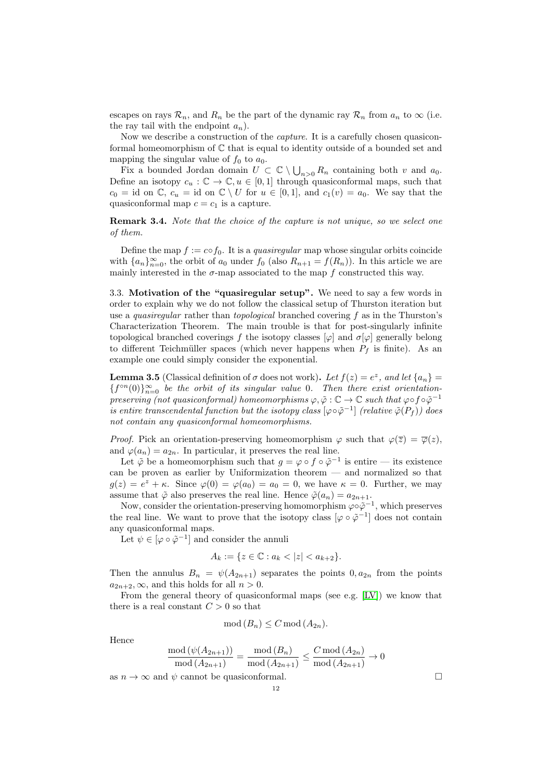escapes on rays  $\mathcal{R}_n$ , and  $R_n$  be the part of the dynamic ray  $\mathcal{R}_n$  from  $a_n$  to  $\infty$  (i.e. the ray tail with the endpoint  $a_n$ ).

Now we describe a construction of the capture. It is a carefully chosen quasiconformal homeomorphism of  $\mathbb C$  that is equal to identity outside of a bounded set and mapping the singular value of  $f_0$  to  $a_0$ .

Fix a bounded Jordan domain  $U \subset \mathbb{C} \setminus \bigcup_{n>0} R_n$  containing both v and  $a_0$ . Define an isotopy  $c_u : \mathbb{C} \to \mathbb{C}, u \in [0,1]$  through quasiconformal maps, such that  $c_0 = id$  on  $\mathbb{C}$ ,  $c_u = id$  on  $\mathbb{C} \setminus U$  for  $u \in [0,1]$ , and  $c_1(v) = a_0$ . We say that the quasiconformal map  $c = c_1$  is a capture.

Remark 3.4. Note that the choice of the capture is not unique, so we select one of them.

Define the map  $f := c \circ f_0$ . It is a *quasiregular* map whose singular orbits coincide with  $\{a_n\}_{n=0}^{\infty}$ , the orbit of  $a_0$  under  $f_0$  (also  $R_{n+1} = f(R_n)$ ). In this article we are mainly interested in the  $\sigma$ -map associated to the map f constructed this way.

<span id="page-11-0"></span>3.3. Motivation of the "quasiregular setup". We need to say a few words in order to explain why we do not follow the classical setup of Thurston iteration but use a *quasiregular* rather than *topological* branched covering  $f$  as in the Thurston's Characterization Theorem. The main trouble is that for post-singularly infinite topological branched coverings f the isotopy classes  $[\varphi]$  and  $\sigma[\varphi]$  generally belong to different Teichmüller spaces (which never happens when  $P_f$  is finite). As an example one could simply consider the exponential.

**Lemma 3.5** (Classical definition of  $\sigma$  does not work). Let  $f(z) = e^z$ , and let  $\{a_n\}$  ${f^{\circ}}^{n}(0)$ <sub>n=0</sub> be the orbit of its singular value 0. Then there exist orientationpreserving (not quasiconformal) homeomorphisms  $\varphi, \tilde{\varphi} : \mathbb{C} \to \mathbb{C}$  such that  $\varphi \circ f \circ \tilde{\varphi}^{-1}$ is entire transcendental function but the isotopy class  $[\varphi \circ \tilde{\varphi}^{-1}]$  (relative  $\tilde{\varphi}(P_f)$ ) does not contain any quasiconformal homeomorphisms.

*Proof.* Pick an orientation-preserving homeomorphism  $\varphi$  such that  $\varphi(\overline{z}) = \overline{\varphi}(z)$ . and  $\varphi(a_n) = a_{2n}$ . In particular, it preserves the real line.

Let  $\tilde{\varphi}$  be a homeomorphism such that  $g = \varphi \circ f \circ \tilde{\varphi}^{-1}$  is entire — its existence can be proven as earlier by Uniformization theorem — and normalized so that  $g(z) = e^z + \kappa$ . Since  $\varphi(0) = \varphi(a_0) = a_0 = 0$ , we have  $\kappa = 0$ . Further, we may assume that  $\tilde{\varphi}$  also preserves the real line. Hence  $\tilde{\varphi}(a_n) = a_{2n+1}$ .

Now, consider the orientation-preserving homomorphism  $\varphi \circ \tilde{\varphi}^{-1}$ , which preserves the real line. We want to prove that the isotopy class  $\lbrack \varphi \circ \tilde{\varphi}^{-1} \rbrack$  does not contain any quasiconformal maps.

Let  $\psi \in [\varphi \circ \tilde{\varphi}^{-1}]$  and consider the annuli

$$
A_k := \{ z \in \mathbb{C} : a_k < |z| < a_{k+2} \}.
$$

Then the annulus  $B_n = \psi(A_{2n+1})$  separates the points  $0, a_{2n}$  from the points  $a_{2n+2}, \infty$ , and this holds for all  $n > 0$ .

From the general theory of quasiconformal maps (see e.g. [\[LV\]](#page-32-15)) we know that there is a real constant  $C > 0$  so that

$$
\operatorname{mod}(B_n) \le C \operatorname{mod}(A_{2n}).
$$

Hence

$$
\frac{\text{mod}(\psi(A_{2n+1}))}{\text{mod}(A_{2n+1})} = \frac{\text{mod}(B_n)}{\text{mod}(A_{2n+1})} \le \frac{C \text{ mod}(A_{2n})}{\text{mod}(A_{2n+1})} \to 0
$$

as  $n \to \infty$  and  $\psi$  cannot be quasiconformal.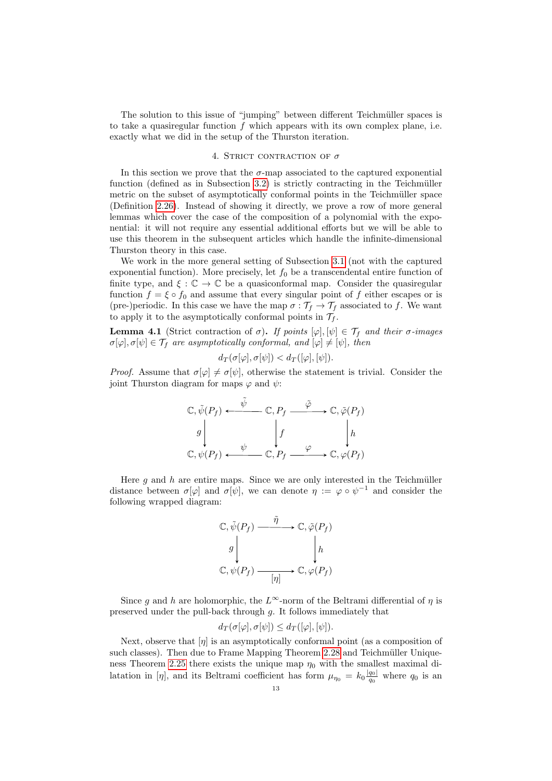The solution to this issue of "jumping" between different Teichmüller spaces is to take a quasiregular function  $f$  which appears with its own complex plane, i.e. exactly what we did in the setup of the Thurston iteration.

#### 4. STRICT CONTRACTION OF  $\sigma$

<span id="page-12-0"></span>In this section we prove that the  $\sigma$ -map associated to the captured exponential function (defined as in Subsection  $3.2$ ) is strictly contracting in the Teichmüller metric on the subset of asymptotically conformal points in the Teichmüller space (Definition [2.26\)](#page-9-1). Instead of showing it directly, we prove a row of more general lemmas which cover the case of the composition of a polynomial with the exponential: it will not require any essential additional efforts but we will be able to use this theorem in the subsequent articles which handle the infinite-dimensional Thurston theory in this case.

We work in the more general setting of Subsection [3.1](#page-9-2) (not with the captured exponential function). More precisely, let  $f_0$  be a transcendental entire function of finite type, and  $\xi : \mathbb{C} \to \mathbb{C}$  be a quasiconformal map. Consider the quasiregular function  $f = \xi \circ f_0$  and assume that every singular point of f either escapes or is (pre-)periodic. In this case we have the map  $\sigma : \mathcal{T}_f \to \mathcal{T}_f$  associated to f. We want to apply it to the asymptotically conformal points in  $\mathcal{T}_f$ .

<span id="page-12-1"></span>**Lemma 4.1** (Strict contraction of  $\sigma$ ). If points  $[\varphi], [\psi] \in \mathcal{T}_f$  and their  $\sigma$ -images  $\sigma[\varphi], \sigma[\psi] \in \mathcal{T}_f$  are asymptotically conformal, and  $[\varphi] \neq [\psi]$ , then

$$
d_T(\sigma[\varphi], \sigma[\psi]) < d_T([\varphi], [\psi]).
$$

*Proof.* Assume that  $\sigma[\varphi] \neq \sigma[\psi]$ , otherwise the statement is trivial. Consider the joint Thurston diagram for maps  $\varphi$  and  $\psi$ :

$$
\mathbb{C}, \tilde{\psi}(P_f) \xleftarrow{\tilde{\psi}} \mathbb{C}, P_f \xrightarrow{\tilde{\varphi}} \mathbb{C}, \tilde{\varphi}(P_f)
$$
\n
$$
g \downarrow \qquad \qquad f \qquad \downarrow h
$$
\n
$$
\mathbb{C}, \psi(P_f) \xleftarrow{\psi} \mathbb{C}, P_f \xrightarrow{\varphi} \mathbb{C}, \varphi(P_f)
$$

Here  $g$  and  $h$  are entire maps. Since we are only interested in the Teichmüller distance between  $\sigma[\varphi]$  and  $\sigma[\psi]$ , we can denote  $\eta := \varphi \circ \psi^{-1}$  and consider the following wrapped diagram:

$$
\mathbb{C}, \tilde{\psi}(P_f) \xrightarrow{\tilde{\eta}} \mathbb{C}, \tilde{\varphi}(P_f)
$$
\n
$$
g \downarrow \qquad \qquad \downarrow h
$$
\n
$$
\mathbb{C}, \psi(P_f) \xrightarrow{\qquad \qquad [\eta] \qquad} \mathbb{C}, \varphi(P_f)
$$

Since g and h are holomorphic, the L∞-norm of the Beltrami differential of  $\eta$  is preserved under the pull-back through g. It follows immediately that

$$
d_T(\sigma[\varphi], \sigma[\psi]) \le d_T([\varphi], [\psi]).
$$

Next, observe that  $[\eta]$  is an asymptotically conformal point (as a composition of such classes). Then due to Frame Mapping Theorem [2.28](#page-9-3) and Teichmüller Unique-ness Theorem [2.25](#page-9-4) there exists the unique map  $\eta_0$  with the smallest maximal dilatation in [η], and its Beltrami coefficient has form  $\mu_{\eta_0} = k_0 \frac{|q_0|}{q_0}$  $\frac{q_0|}{q_0}$  where  $q_0$  is an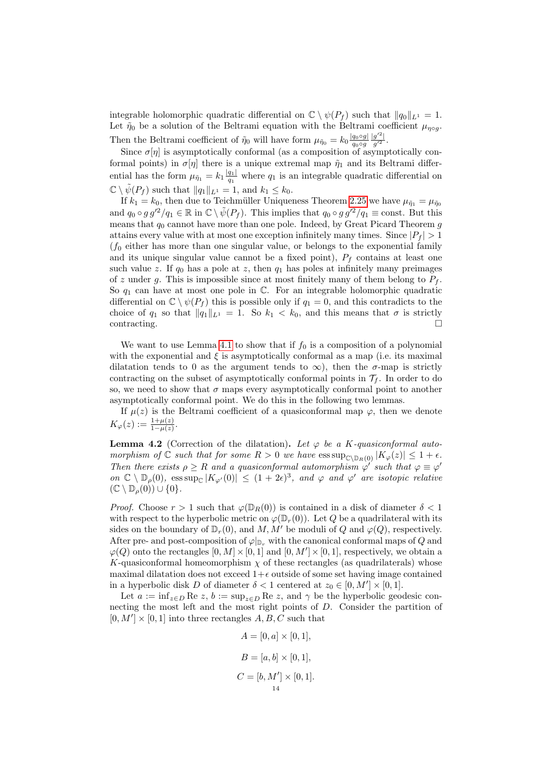integrable holomorphic quadratic differential on  $\mathbb{C} \setminus \psi(P_f)$  such that  $||q_0||_{L^1} = 1$ . Let  $\tilde{\eta}_0$  be a solution of the Beltrami equation with the Beltrami coefficient  $\mu_{\eta \circ q}$ . Then the Beltrami coefficient of  $\tilde{\eta}_0$  will have form  $\mu_{\tilde{\eta}_0} = k_0 \frac{|q_0 \circ g|}{q_0 \circ q}$  $q_0 \circ g$  $|g'^2|$  $rac{g}{g'^2}$ .

Since  $\sigma[\eta]$  is asymptotically conformal (as a composition of asymptotically conformal points) in  $\sigma[\eta]$  there is a unique extremal map  $\tilde{\eta}_1$  and its Beltrami differential has the form  $\mu_{\tilde{\eta}_1} = k_1 \frac{|q_1|}{q_1}$  $\frac{q_1}{q_1}$  where  $q_1$  is an integrable quadratic differential on  $\mathbb{C} \setminus \tilde{\psi}(P_f)$  such that  $||q_1||_{L^1} = 1$ , and  $k_1 \leq k_0$ .

If  $k_1 = k_0$ , then due to Teichmüller Uniqueness Theorem [2.25](#page-9-4) we have  $\mu_{\tilde{n}_1} = \mu_{\tilde{n}_0}$ and  $q_0 \circ g g'^2/q_1 \in \mathbb{R}$  in  $\mathbb{C} \setminus \tilde{\psi}(P_f)$ . This implies that  $q_0 \circ g g'^2/q_1 \equiv \text{const.}$  But this means that  $q_0$  cannot have more than one pole. Indeed, by Great Picard Theorem  $g$ attains every value with at most one exception infinitely many times. Since  $|P_f| > 1$  $(f_0$  either has more than one singular value, or belongs to the exponential family and its unique singular value cannot be a fixed point),  $P_f$  contains at least one such value z. If  $q_0$  has a pole at z, then  $q_1$  has poles at infinitely many preimages of z under g. This is impossible since at most finitely many of them belong to  $P_f$ . So  $q_1$  can have at most one pole in  $\mathbb{C}$ . For an integrable holomorphic quadratic differential on  $\mathbb{C} \setminus \psi(P_f)$  this is possible only if  $q_1 = 0$ , and this contradicts to the choice of  $q_1$  so that  $||q_1||_{L^1} = 1$ . So  $k_1 < k_0$ , and this means that  $\sigma$  is strictly contracting.

We want to use Lemma [4.1](#page-12-1) to show that if  $f_0$  is a composition of a polynomial with the exponential and  $\xi$  is asymptotically conformal as a map (i.e. its maximal dilatation tends to 0 as the argument tends to  $\infty$ ), then the  $\sigma$ -map is strictly contracting on the subset of asymptotically conformal points in  $\mathcal{T}_f$ . In order to do so, we need to show that  $\sigma$  maps every asymptotically conformal point to another asymptotically conformal point. We do this in the following two lemmas.

If  $\mu(z)$  is the Beltrami coefficient of a quasiconformal map  $\varphi$ , then we denote  $K_{\varphi}(z) := \frac{1 + \mu(z)}{1 - \mu(z)}.$ 

<span id="page-13-0"></span>**Lemma 4.2** (Correction of the dilatation). Let  $\varphi$  be a K-quasiconformal automorphism of  $\mathbb C$  such that for some  $R > 0$  we have  $\text{ess sup}_{\mathbb C\setminus\mathbb D_R(0)} |K_{\varphi}(z)| \leq 1 + \epsilon$ . Then there exists  $\rho \geq R$  and a quasiconformal automorphism  $\varphi'$  such that  $\varphi \equiv \varphi'$ on  $\mathbb{C} \setminus \mathbb{D}_{\rho}(0)$ , ess sup<sub> $\mathbb{C} |K_{\varphi'}(0)| \leq (1+2\epsilon)^3$ , and  $\varphi$  and  $\varphi'$  are isotopic relative</sub>  $(\mathbb{C} \setminus \mathbb{D}_{\rho}(0)) \cup \{0\}.$ 

*Proof.* Choose  $r > 1$  such that  $\varphi(\mathbb{D}_R(0))$  is contained in a disk of diameter  $\delta < 1$ with respect to the hyperbolic metric on  $\varphi(\mathbb{D}_r(0))$ . Let Q be a quadrilateral with its sides on the boundary of  $\mathbb{D}_r(0)$ , and  $M, M'$  be moduli of Q and  $\varphi(Q)$ , respectively. After pre- and post-composition of  $\varphi|_{\mathbb{D}_r}$  with the canonical conformal maps of Q and  $\varphi(Q)$  onto the rectangles  $[0, M] \times [0, 1]$  and  $[0, M'] \times [0, 1]$ , respectively, we obtain a K-quasiconformal homeomorphism  $\chi$  of these rectangles (as quadrilaterals) whose maximal dilatation does not exceed  $1+\epsilon$  outside of some set having image contained in a hyperbolic disk D of diameter  $\delta < 1$  centered at  $z_0 \in [0, M'] \times [0, 1]$ .

Let  $a := \inf_{z \in D} \text{Re } z, b := \sup_{z \in D} \text{Re } z$ , and  $\gamma$  be the hyperbolic geodesic connecting the most left and the most right points of D. Consider the partition of  $[0, M'] \times [0, 1]$  into three rectangles  $A, B, C$  such that

$$
A = [0, a] \times [0, 1],
$$
  
\n
$$
B = [a, b] \times [0, 1],
$$
  
\n
$$
C = [b, M'] \times [0, 1].
$$
  
\n<sup>14</sup>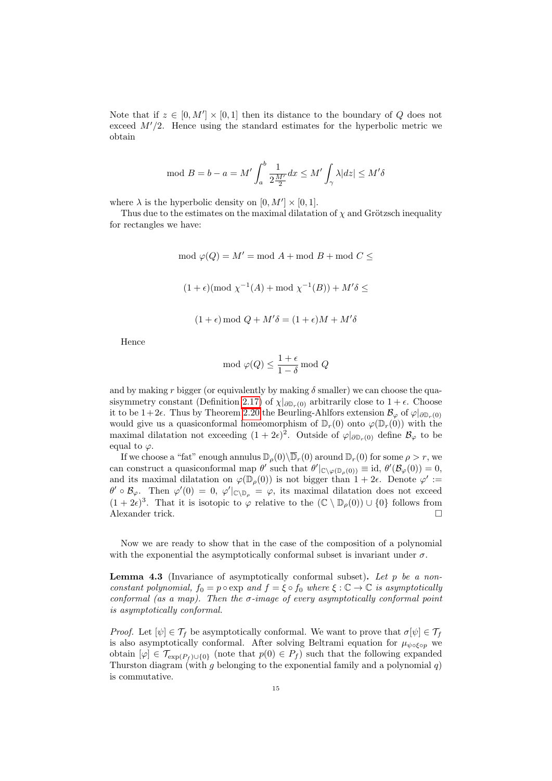Note that if  $z \in [0, M'] \times [0, 1]$  then its distance to the boundary of Q does not exceed  $M'/2$ . Hence using the standard estimates for the hyperbolic metric we obtain

$$
\mod B = b - a = M' \int_a^b \frac{1}{2\frac{M'}{2}} dx \le M' \int_\gamma \lambda |dz| \le M' \delta
$$

where  $\lambda$  is the hyperbolic density on  $[0, M'] \times [0, 1]$ .

Thus due to the estimates on the maximal dilatation of  $\chi$  and Grötzsch inequality for rectangles we have:

> mod  $\varphi(Q) = M'$  = mod A + mod B + mod C  $\leq$  $(1+\epsilon)$ (mod  $\chi^{-1}(A)$  + mod  $\chi^{-1}(B)$ ) +  $M'\delta \leq$  $(1 + \epsilon) \mod Q + M' \delta = (1 + \epsilon)M + M' \delta$

Hence

$$
\mod{\varphi(Q)} \le \frac{1+\epsilon}{1-\delta} \mod{Q}
$$

and by making r bigger (or equivalently by making  $\delta$  smaller) we can choose the qua-sisymmetry constant (Definition [2.17\)](#page-8-1) of  $\chi|_{\partial \mathbb{D}_r(0)}$  arbitrarily close to  $1 + \epsilon$ . Choose it to be 1+2 $\epsilon$ . Thus by Theorem [2.20](#page-8-2) the Beurling-Ahlfors extension  $\mathcal{B}_{\varphi}$  of  $\varphi|_{\partial \mathbb{D}_{\varphi}(0)}$ would give us a quasiconformal homeomorphism of  $\mathbb{D}_r(0)$  onto  $\varphi(\mathbb{D}_r(0))$  with the maximal dilatation not exceeding  $(1 + 2\epsilon)^2$ . Outside of  $\varphi|_{\partial \mathbb{D}_r(0)}$  define  $\mathcal{B}_{\varphi}$  to be equal to  $\varphi$ .

If we choose a "fat" enough annulus  $\mathbb{D}_{\rho}(0)\backslash\overline{\mathbb{D}}_r(0)$  around  $\mathbb{D}_r(0)$  for some  $\rho > r$ , we can construct a quasiconformal map  $\theta'$  such that  $\theta'|_{\mathbb{C}\setminus\varphi(\mathbb{D}_\rho(0))} \equiv \mathrm{id}, \ \theta'(\mathcal{B}_{\varphi}(0)) = 0$ , and its maximal dilatation on  $\varphi(\mathbb{D}_{\rho}(0))$  is not bigger than  $1+2\epsilon$ . Denote  $\varphi' :=$  $\theta' \circ \mathcal{B}_{\varphi}$ . Then  $\varphi'(0) = 0$ ,  $\varphi'|_{\mathbb{C}\setminus\mathbb{D}_{\rho}} = \varphi$ , its maximal dilatation does not exceed  $(1 + 2\epsilon)^3$ . That it is isotopic to  $\varphi$  relative to the  $(\mathbb{C} \setminus \mathbb{D}_{\rho}(0)) \cup \{0\}$  follows from Alexander trick.

Now we are ready to show that in the case of the composition of a polynomial with the exponential the asymptotically conformal subset is invariant under  $\sigma$ .

<span id="page-14-0"></span>**Lemma 4.3** (Invariance of asymptotically conformal subset). Let p be a nonconstant polynomial,  $f_0 = p \circ \exp$  and  $f = \xi \circ f_0$  where  $\xi : \mathbb{C} \to \mathbb{C}$  is asymptotically conformal (as a map). Then the  $\sigma$ -image of every asymptotically conformal point is asymptotically conformal.

*Proof.* Let  $[\psi] \in \mathcal{T}_f$  be asymptotically conformal. We want to prove that  $\sigma[\psi] \in \mathcal{T}_f$ is also asymptotically conformal. After solving Beltrami equation for  $\mu_{\psi \circ \xi \circ p}$  we obtain  $[\varphi] \in \mathcal{T}_{\exp(P_f) \cup \{0\}}$  (note that  $p(0) \in P_f$ ) such that the following expanded Thurston diagram (with g belonging to the exponential family and a polynomial q) is commutative.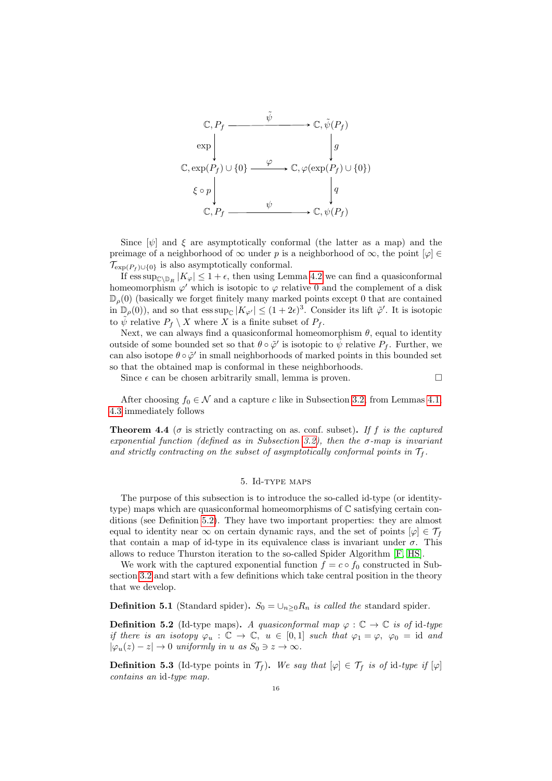

Since  $[\psi]$  and  $\xi$  are asymptotically conformal (the latter as a map) and the preimage of a neighborhood of  $\infty$  under p is a neighborhood of  $\infty$ , the point  $[\varphi] \in$  $\mathcal{T}_{\exp(P_f) \cup \{0\}}$  is also asymptotically conformal.

If  $\text{ess\,sup}_{\mathbb{C}\setminus\mathbb{D}_R}|K_{\varphi}|\leq 1+\epsilon$ , then using Lemma [4.2](#page-13-0) we can find a quasiconformal homeomorphism  $\varphi'$  which is isotopic to  $\varphi$  relative 0 and the complement of a disk  $\mathbb{D}_{\rho}(0)$  (basically we forget finitely many marked points except 0 that are contained in  $\mathbb{D}_{\rho}(0)$ , and so that  $\operatorname{ess \, sup}_{\mathbb{C}} |K_{\varphi'}| \leq (1+2\epsilon)^3$ . Consider its lift  $\tilde{\varphi}'$ . It is isotopic to  $\tilde{\psi}$  relative  $P_f \setminus X$  where X is a finite subset of  $P_f$ .

Next, we can always find a quasiconformal homeomorphism  $\theta$ , equal to identity outside of some bounded set so that  $\theta \circ \tilde{\varphi}'$  is isotopic to  $\tilde{\psi}$  relative  $P_f$ . Further, we can also isotope  $\theta \circ \tilde{\varphi}'$  in small neighborhoods of marked points in this bounded set so that the obtained map is conformal in these neighborhoods.

Since  $\epsilon$  can be chosen arbitrarily small, lemma is proven.

After choosing  $f_0 \in \mathcal{N}$  and a capture c like in Subsection [3.2,](#page-10-0) from Lemmas [4.1,](#page-12-1) [4.3](#page-14-0) immediately follows

<span id="page-15-2"></span>**Theorem 4.4** ( $\sigma$  is strictly contracting on as. conf. subset). If f is the captured exponential function (defined as in Subsection [3.2\)](#page-10-0), then the  $\sigma$ -map is invariant and strictly contracting on the subset of asymptotically conformal points in  $\mathcal{T}_f$ .

## 5. Id-type maps

<span id="page-15-0"></span>The purpose of this subsection is to introduce the so-called id-type (or identitytype) maps which are quasiconformal homeomorphisms of  $\mathbb C$  satisfying certain conditions (see Definition [5.2\)](#page-15-1). They have two important properties: they are almost equal to identity near  $\infty$  on certain dynamic rays, and the set of points  $[\varphi] \in \mathcal{T}_f$ that contain a map of id-type in its equivalence class is invariant under  $\sigma$ . This allows to reduce Thurston iteration to the so-called Spider Algorithm [\[F,](#page-32-7) [HS\]](#page-32-14).

We work with the captured exponential function  $f = c \circ f_0$  constructed in Subsection [3.2](#page-10-0) and start with a few definitions which take central position in the theory that we develop.

**Definition 5.1** (Standard spider).  $S_0 = \bigcup_{n>0} R_n$  is called the standard spider.

<span id="page-15-1"></span>**Definition 5.2** (Id-type maps). A quasiconformal map  $\varphi : \mathbb{C} \to \mathbb{C}$  is of id-type if there is an isotopy  $\varphi_u : \mathbb{C} \to \mathbb{C}$ ,  $u \in [0,1]$  such that  $\varphi_1 = \varphi$ ,  $\varphi_0 = id$  and  $|\varphi_u(z) - z| \to 0$  uniformly in u as  $S_0 \ni z \to \infty$ .

**Definition 5.3** (Id-type points in  $\mathcal{T}_f$ ). We say that  $[\varphi] \in \mathcal{T}_f$  is of id-type if  $[\varphi]$ contains an id-type map.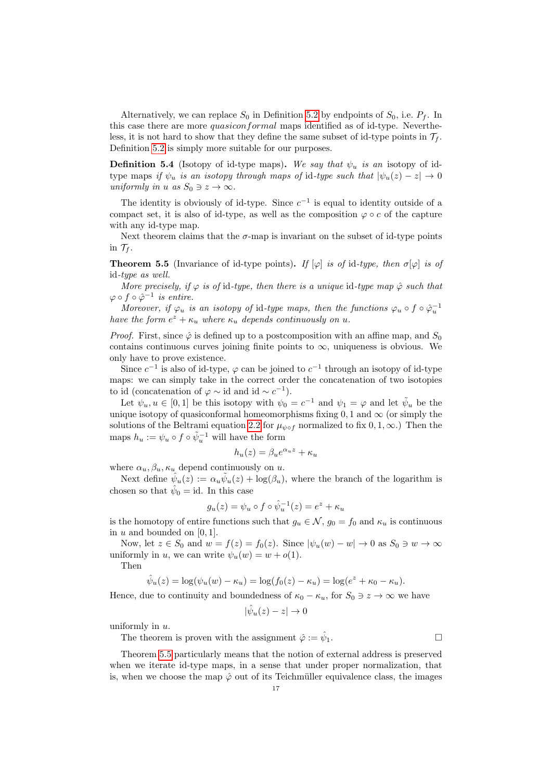Alternatively, we can replace  $S_0$  in Definition [5.2](#page-15-1) by endpoints of  $S_0$ , i.e.  $P_f$ . In this case there are more quasiconformal maps identified as of id-type. Nevertheless, it is not hard to show that they define the same subset of id-type points in  $\mathcal{T}_f$ . Definition [5.2](#page-15-1) is simply more suitable for our purposes.

**Definition 5.4** (Isotopy of id-type maps). We say that  $\psi_u$  is an isotopy of idtype maps if  $\psi_u$  is an isotopy through maps of id-type such that  $|\psi_u(z) - z| \to 0$ uniformly in u as  $S_0 \ni z \to \infty$ .

The identity is obviously of id-type. Since  $c^{-1}$  is equal to identity outside of a compact set, it is also of id-type, as well as the composition  $\varphi \circ c$  of the capture with any id-type map.

Next theorem claims that the  $\sigma$ -map is invariant on the subset of id-type points in  $\mathcal{T}_f$ .

<span id="page-16-0"></span>**Theorem 5.5** (Invariance of id-type points). If  $[\varphi]$  is of id-type, then  $\sigma[\varphi]$  is of id-type as well.

More precisely, if  $\varphi$  is of id-type, then there is a unique id-type map  $\hat{\varphi}$  such that  $\varphi \circ f \circ \hat{\varphi}^{-1}$  is entire.

Moreover, if  $\varphi_u$  is an isotopy of id-type maps, then the functions  $\varphi_u \circ f \circ \hat{\varphi}_u^{-1}$ have the form  $e^z + \kappa_u$  where  $\kappa_u$  depends continuously on u.

*Proof.* First, since  $\hat{\varphi}$  is defined up to a postcomposition with an affine map, and  $S_0$ contains continuous curves joining finite points to  $\infty$ , uniqueness is obvious. We only have to prove existence.

Since  $c^{-1}$  is also of id-type,  $\varphi$  can be joined to  $c^{-1}$  through an isotopy of id-type maps: we can simply take in the correct order the concatenation of two isotopies to id (concatenation of  $\varphi \sim$  id and id  $\sim c^{-1}$ ).

Let  $\psi_u, u \in [0,1]$  be this isotopy with  $\psi_0 = c^{-1}$  and  $\psi_1 = \varphi$  and let  $\tilde{\psi}_u$  be the unique isotopy of quasiconformal homeomorphisms fixing  $0, 1$  and  $\infty$  (or simply the solutions of the Beltrami equation [2.2](#page-7-0) for  $\mu_{\psi \circ f}$  normalized to fix  $0, 1, \infty$ .) Then the maps  $h_u := \psi_u \circ f \circ \tilde{\psi}_u^{-1}$  will have the form

$$
h_u(z) = \beta_u e^{\alpha_u z} + \kappa_u
$$

where  $\alpha_u, \beta_u, \kappa_u$  depend continuously on u.

Next define  $\hat{\psi}_u(z) := \alpha_u \tilde{\psi}_u(z) + \log(\beta_u)$ , where the branch of the logarithm is chosen so that  $\hat{\psi}_0 = id$ . In this case

$$
g_u(z) = \psi_u \circ f \circ \hat{\psi}_u^{-1}(z) = e^z + \kappa_u
$$

is the homotopy of entire functions such that  $g_u \in \mathcal{N}$ ,  $g_0 = f_0$  and  $\kappa_u$  is continuous in  $u$  and bounded on [0, 1].

Now, let  $z \in S_0$  and  $w = f(z) = f_0(z)$ . Since  $|\psi_u(w) - w| \to 0$  as  $S_0 \ni w \to \infty$ uniformly in u, we can write  $\psi_u(w) = w + o(1)$ .

Then

$$
\hat{\psi}_u(z) = \log(\psi_u(w) - \kappa_u) = \log(f_0(z) - \kappa_u) = \log(e^z + \kappa_0 - \kappa_u).
$$

Hence, due to continuity and boundedness of  $\kappa_0 - \kappa_u$ , for  $S_0 \ni z \to \infty$  we have

$$
|\hat{\psi}_u(z) - z| \to 0
$$

uniformly in  $u$ .

The theorem is proven with the assignment  $\hat{\varphi} := \hat{\psi}_1$ .  $\Box$ 

Theorem [5.5](#page-16-0) particularly means that the notion of external address is preserved when we iterate id-type maps, in a sense that under proper normalization, that is, when we choose the map  $\hat{\varphi}$  out of its Teichmüller equivalence class, the images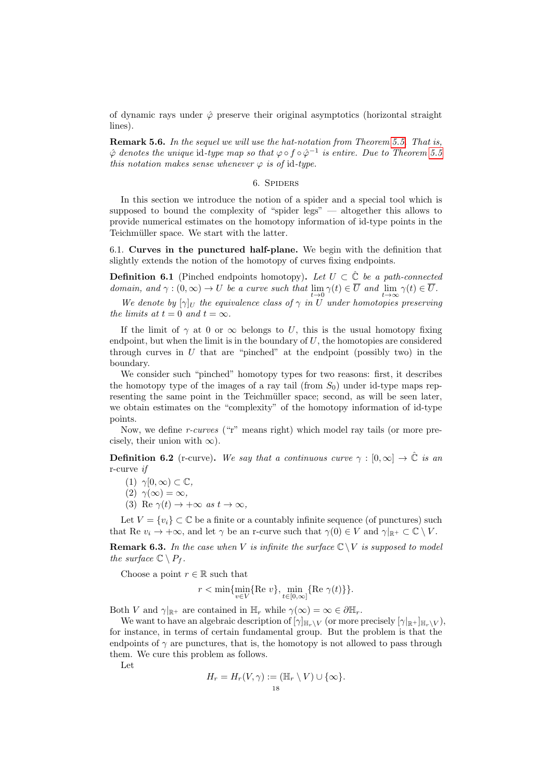of dynamic rays under  $\hat{\varphi}$  preserve their original asymptotics (horizontal straight lines).

Remark 5.6. In the sequel we will use the hat-notation from Theorem [5.5.](#page-16-0) That is,  $\hat{\varphi}$  denotes the unique id-type map so that  $\varphi \circ f \circ \hat{\varphi}^{-1}$  is entire. Due to Theorem [5.5](#page-16-0) this notation makes sense whenever  $\varphi$  is of id-type.

## 6. SPIDERS

<span id="page-17-0"></span>In this section we introduce the notion of a spider and a special tool which is supposed to bound the complexity of "spider legs" — altogether this allows to provide numerical estimates on the homotopy information of id-type points in the Teichmüller space. We start with the latter.

<span id="page-17-2"></span>6.1. Curves in the punctured half-plane. We begin with the definition that slightly extends the notion of the homotopy of curves fixing endpoints.

<span id="page-17-1"></span>**Definition 6.1** (Pinched endpoints homotopy). Let  $U \subset \hat{\mathbb{C}}$  be a path-connected domain, and  $\gamma : (0, \infty) \to U$  be a curve such that  $\lim_{t \to 0} \gamma(t) \in U$  and  $\lim_{t \to \infty} \gamma(t) \in U$ .

We denote by  $[\gamma]_U$  the equivalence class of  $\gamma$  in U under homotopies preserving the limits at  $t = 0$  and  $t = \infty$ .

If the limit of  $\gamma$  at 0 or  $\infty$  belongs to U, this is the usual homotopy fixing endpoint, but when the limit is in the boundary of  $U$ , the homotopies are considered through curves in  $U$  that are "pinched" at the endpoint (possibly two) in the boundary.

We consider such "pinched" homotopy types for two reasons: first, it describes the homotopy type of the images of a ray tail (from  $S_0$ ) under id-type maps representing the same point in the Teichmüller space; second, as will be seen later, we obtain estimates on the "complexity" of the homotopy information of id-type points.

Now, we define r-curves ("r" means right) which model ray tails (or more precisely, their union with  $\infty$ ).

**Definition 6.2** (r-curve). We say that a continuous curve  $\gamma : [0, \infty] \to \mathbb{C}$  is an r-curve if

 $(1)$   $\gamma[0,\infty) \subset \mathbb{C}$ ,

(2)  $\gamma(\infty) = \infty$ .

(3) Re  $\gamma(t) \rightarrow +\infty$  as  $t \rightarrow \infty$ ,

Let  $V = \{v_i\} \subset \mathbb{C}$  be a finite or a countably infinite sequence (of punctures) such that Re  $v_i \to +\infty$ , and let  $\gamma$  be an r-curve such that  $\gamma(0) \in V$  and  $\gamma|_{\mathbb{R}^+} \subset \mathbb{C} \setminus V$ .

**Remark 6.3.** In the case when V is infinite the surface  $\mathbb{C}\setminus V$  is supposed to model the surface  $\mathbb{C} \setminus P_f$ .

Choose a point  $r \in \mathbb{R}$  such that

$$
r < \min\{\min_{v \in V} \{\text{Re } v\}, \min_{t \in [0,\infty]} \{\text{Re } \gamma(t)\}\}.
$$

Both V and  $\gamma|_{\mathbb{R}^+}$  are contained in  $\mathbb{H}_r$  while  $\gamma(\infty) = \infty \in \partial \mathbb{H}_r$ .

We want to have an algebraic description of  $[\gamma]_{\mathbb{H}_r\setminus V}$  (or more precisely  $[\gamma]_{\mathbb{H}_r\setminus V}$ ), for instance, in terms of certain fundamental group. But the problem is that the endpoints of  $\gamma$  are punctures, that is, the homotopy is not allowed to pass through them. We cure this problem as follows.

Let

$$
H_r = H_r(V, \gamma) := (\mathbb{H}_r \setminus V) \cup \{\infty\}.
$$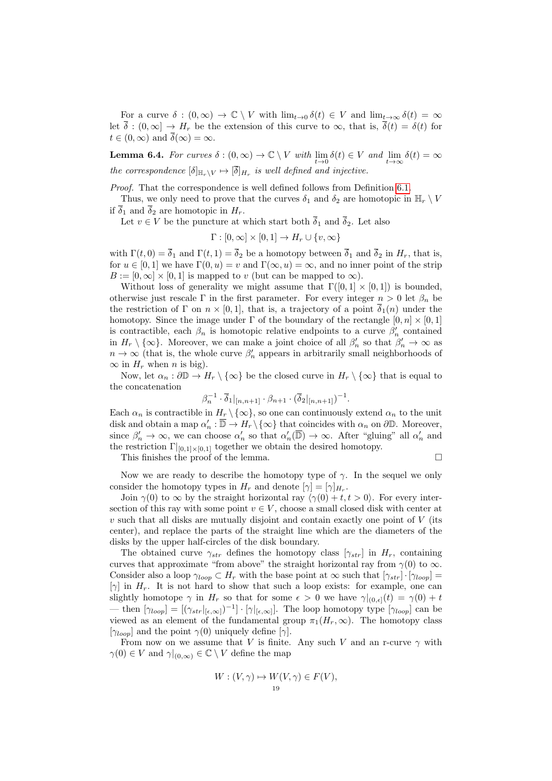For a curve  $\delta : (0, \infty) \to \mathbb{C} \setminus V$  with  $\lim_{t\to 0} \delta(t) \in V$  and  $\lim_{t\to \infty} \delta(t) = \infty$ let  $\overline{\delta}$  :  $(0,\infty] \to H_r$  be the extension of this curve to  $\infty$ , that is,  $\overline{\delta}(t) = \delta(t)$  for  $t \in (0,\infty)$  and  $\overline{\delta}(\infty) = \infty$ .

<span id="page-18-0"></span>**Lemma 6.4.** For curves  $\delta : (0, \infty) \to \mathbb{C} \setminus V$  with  $\lim_{t \to 0} \delta(t) \in V$  and  $\lim_{t \to \infty} \delta(t) = \infty$ the correspondence  $[\delta]_{\mathbb{H}_r \setminus V} \mapsto [\delta]_{H_r}$  is well defined and injective.

Proof. That the correspondence is well defined follows from Definition [6.1.](#page-17-1)

Thus, we only need to prove that the curves  $\delta_1$  and  $\delta_2$  are homotopic in  $\mathbb{H}_r \setminus V$ if  $\overline{\delta}_1$  and  $\overline{\delta}_2$  are homotopic in  $H_r$ .

Let  $v \in V$  be the puncture at which start both  $\overline{\delta}_1$  and  $\overline{\delta}_2$ . Let also

 $\Gamma : [0, \infty] \times [0, 1] \rightarrow H_r \cup \{v, \infty\}$ 

with  $\Gamma(t, 0) = \overline{\delta}_1$  and  $\Gamma(t, 1) = \overline{\delta}_2$  be a homotopy between  $\overline{\delta}_1$  and  $\overline{\delta}_2$  in  $H_r$ , that is, for  $u \in [0, 1]$  we have  $\Gamma(0, u) = v$  and  $\Gamma(\infty, u) = \infty$ , and no inner point of the strip  $B := [0, \infty] \times [0, 1]$  is mapped to v (but can be mapped to  $\infty$ ).

Without loss of generality we might assume that  $\Gamma([0,1] \times [0,1])$  is bounded, otherwise just rescale Γ in the first parameter. For every integer  $n > 0$  let  $\beta_n$  be the restriction of Γ on  $n \times [0, 1]$ , that is, a trajectory of a point  $\delta_1(n)$  under the homotopy. Since the image under  $\Gamma$  of the boundary of the rectangle  $[0, n] \times [0, 1]$ is contractible, each  $\beta_n$  is homotopic relative endpoints to a curve  $\beta'_n$  contained in  $H_r \setminus \{\infty\}$ . Moreover, we can make a joint choice of all  $\beta'_n$  so that  $\beta'_n \to \infty$  as  $n \to \infty$  (that is, the whole curve  $\beta'_n$  appears in arbitrarily small neighborhoods of  $\infty$  in  $H_r$  when n is big).

Now, let  $\alpha_n : \partial \mathbb{D} \to H_r \setminus {\infty}$  be the closed curve in  $H_r \setminus {\infty}$  that is equal to the concatenation

$$
\beta_n^{-1} \cdot \overline{\delta}_1|_{[n,n+1]} \cdot \beta_{n+1} \cdot (\overline{\delta}_2|_{[n,n+1]})^{-1}.
$$

Each  $\alpha_n$  is contractible in  $H_r \setminus \{\infty\}$ , so one can continuously extend  $\alpha_n$  to the unit disk and obtain a map  $\alpha'_n : \overline{\mathbb{D}} \to H_r \setminus \{\infty\}$  that coincides with  $\alpha_n$  on  $\partial \mathbb{D}$ . Moreover, since  $\beta'_n \to \infty$ , we can choose  $\alpha'_n$  so that  $\alpha'_n(\overline{\mathbb{D}}) \to \infty$ . After "gluing" all  $\alpha'_n$  and the restriction  $\Gamma|_{[0,1]\times[0,1]}$  together we obtain the desired homotopy.

This finishes the proof of the lemma.

Now we are ready to describe the homotopy type of  $\gamma$ . In the sequel we only consider the homotopy types in  $H_r$  and denote  $[\gamma] = [\gamma]_{H_r}$ .

Join  $\gamma(0)$  to  $\infty$  by the straight horizontal ray  $\langle \gamma(0) + t, t > 0 \rangle$ . For every intersection of this ray with some point  $v \in V$ , choose a small closed disk with center at  $v$  such that all disks are mutually disjoint and contain exactly one point of  $V$  (its center), and replace the parts of the straight line which are the diameters of the disks by the upper half-circles of the disk boundary.

The obtained curve  $\gamma_{str}$  defines the homotopy class  $[\gamma_{str}]$  in  $H_r$ , containing curves that approximate "from above" the straight horizontal ray from  $\gamma(0)$  to  $\infty$ . Consider also a loop  $\gamma_{loop} \subset H_r$  with the base point at  $\infty$  such that  $[\gamma_{str}] \cdot [\gamma_{loop}] =$ [ $\gamma$ ] in  $H_r$ . It is not hard to show that such a loop exists: for example, one can slightly homotope  $\gamma$  in  $H_r$  so that for some  $\epsilon > 0$  we have  $\gamma|_{(0,\epsilon]}(t) = \gamma(0) + t$ — then  $[\gamma_{loop}] = [(\gamma_{str}|_{[\epsilon,\infty]})^{-1}] \cdot [\gamma|_{[\epsilon,\infty]}].$  The loop homotopy type  $[\gamma_{loop}]$  can be viewed as an element of the fundamental group  $\pi_1(H_r, \infty)$ . The homotopy class  $[\gamma_{loop}]$  and the point  $\gamma(0)$  uniquely define  $[\gamma]$ .

From now on we assume that V is finite. Any such V and an r-curve  $\gamma$  with  $\gamma(0) \in V$  and  $\gamma|_{(0,\infty)} \in \mathbb{C} \setminus V$  define the map

$$
W: (V, \gamma) \mapsto W(V, \gamma) \in F(V),
$$
  
<sub>19</sub>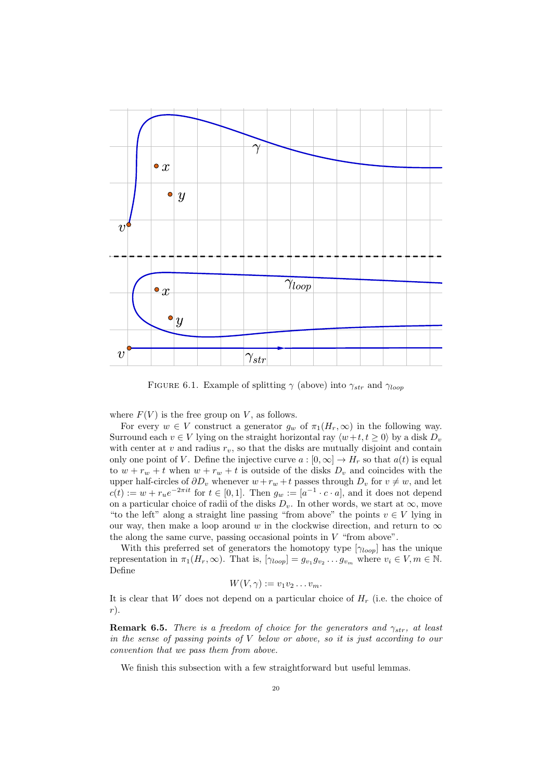

FIGURE 6.1. Example of splitting  $\gamma$  (above) into  $\gamma_{str}$  and  $\gamma_{loop}$ 

where  $F(V)$  is the free group on V, as follows.

For every  $w \in V$  construct a generator  $g_w$  of  $\pi_1(H_r, \infty)$  in the following way. Surround each  $v \in V$  lying on the straight horizontal ray  $\langle w+t, t \geq 0 \rangle$  by a disk  $D_v$ with center at  $v$  and radius  $r_v$ , so that the disks are mutually disjoint and contain only one point of V. Define the injective curve  $a:[0,\infty] \to H_r$  so that  $a(t)$  is equal to  $w + r_w + t$  when  $w + r_w + t$  is outside of the disks  $D_v$  and coincides with the upper half-circles of  $\partial D_v$  whenever  $w + r_w + t$  passes through  $D_v$  for  $v \neq w$ , and let  $c(t) := w + r_u e^{-2\pi i t}$  for  $t \in [0,1]$ . Then  $g_w := [a^{-1} \cdot c \cdot a]$ , and it does not depend on a particular choice of radii of the disks  $D_v$ . In other words, we start at  $\infty$ , move "to the left" along a straight line passing "from above" the points  $v \in V$  lying in our way, then make a loop around w in the clockwise direction, and return to  $\infty$ the along the same curve, passing occasional points in  $V$  "from above".

With this preferred set of generators the homotopy type  $[\gamma_{loop}]$  has the unique representation in  $\pi_1(H_r, \infty)$ . That is,  $[\gamma_{loop}] = g_{v_1} g_{v_2} \dots g_{v_m}$  where  $v_i \in V, m \in \mathbb{N}$ . Define

$$
W(V,\gamma) := v_1v_2\ldots v_m.
$$

It is clear that W does not depend on a particular choice of  $H_r$  (i.e. the choice of r).

**Remark 6.5.** There is a freedom of choice for the generators and  $\gamma_{str}$ , at least in the sense of passing points of V below or above, so it is just according to our convention that we pass them from above.

We finish this subsection with a few straightforward but useful lemmas.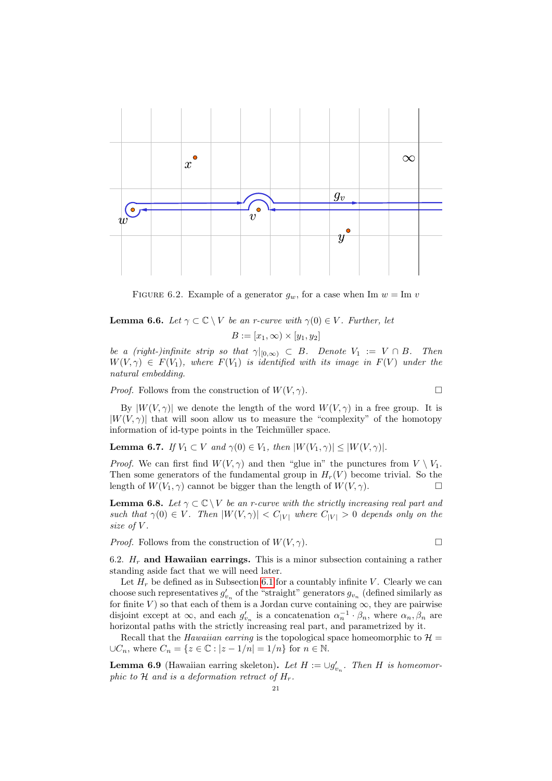

FIGURE 6.2. Example of a generator  $g_w$ , for a case when Im  $w = \text{Im } v$ 

**Lemma 6.6.** Let  $\gamma \subset \mathbb{C} \setminus V$  be an r-curve with  $\gamma(0) \in V$ . Further, let

$$
B := [x_1, \infty) \times [y_1, y_2]
$$

be a (right-)infinite strip so that  $\gamma|_{[0,\infty)} \subset B$ . Denote  $V_1 := V \cap B$ . Then  $W(V, \gamma) \in F(V_1)$ , where  $F(V_1)$  is identified with its image in  $F(V)$  under the natural embedding.

*Proof.* Follows from the construction of  $W(V, \gamma)$ .

By  $|W(V, \gamma)|$  we denote the length of the word  $W(V, \gamma)$  in a free group. It is  $|W(V, \gamma)|$  that will soon allow us to measure the "complexity" of the homotopy information of id-type points in the Teichmüller space.

**Lemma 6.7.** If  $V_1 \subset V$  and  $\gamma(0) \in V_1$ , then  $|W(V_1, \gamma)| \leq |W(V, \gamma)|$ .

*Proof.* We can first find  $W(V, \gamma)$  and then "glue in" the punctures from  $V \setminus V_1$ . Then some generators of the fundamental group in  $H_r(V)$  become trivial. So the length of  $W(V_1, \gamma)$  cannot be bigger than the length of  $W(V, \gamma)$ .

**Lemma 6.8.** Let  $\gamma \subset \mathbb{C} \setminus V$  be an r-curve with the strictly increasing real part and such that  $\gamma(0) \in V$ . Then  $|W(V, \gamma)| < C_{|V|}$  where  $C_{|V|} > 0$  depends only on the size of V.

*Proof.* Follows from the construction of  $W(V, \gamma)$ .

6.2.  $H_r$  and Hawaiian earrings. This is a minor subsection containing a rather standing aside fact that we will need later.

Let  $H_r$  be defined as in Subsection [6.1](#page-17-2) for a countably infinite V. Clearly we can choose such representatives  $g'_{v_n}$  of the "straight" generators  $g_{v_n}$  (defined similarly as for finite V) so that each of them is a Jordan curve containing  $\infty$ , they are pairwise disjoint except at  $\infty$ , and each  $g'_{v_n}$  is a concatenation  $\alpha_n^{-1} \cdot \beta_n$ , where  $\alpha_n, \beta_n$  are horizontal paths with the strictly increasing real part, and parametrized by it.

Recall that the *Hawaiian earring* is the topological space homeomorphic to  $\mathcal{H} =$  $\cup C_n$ , where  $C_n = \{z \in \mathbb{C} : |z - 1/n| = 1/n\}$  for  $n \in \mathbb{N}$ .

<span id="page-20-0"></span>**Lemma 6.9** (Hawaiian earring skeleton). Let  $H := \bigcup g'_{v_n}$ . Then H is homeomorphic to  $H$  and is a deformation retract of  $H_r$ .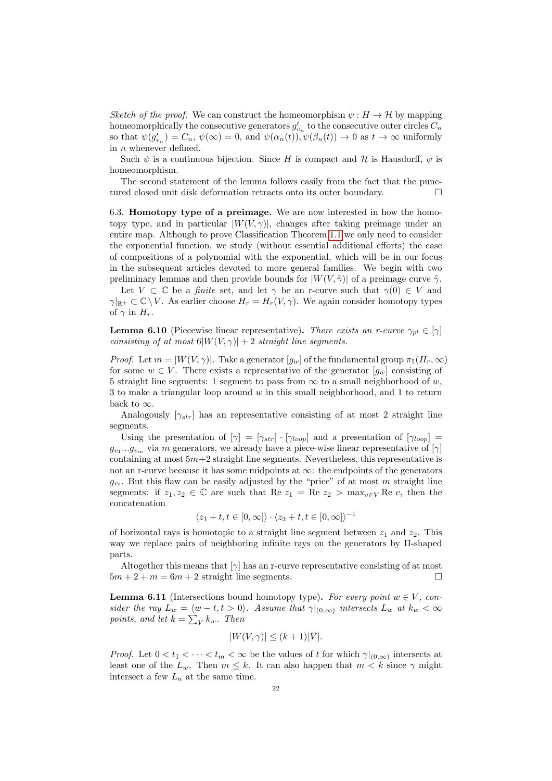Sketch of the proof. We can construct the homeomorphism  $\psi : H \to \mathcal{H}$  by mapping homeomorphically the consecutive generators  $g'_{v_n}$  to the consecutive outer circles  $C_n$ so that  $\psi(g'_{v_n}) = C_n$ ,  $\psi(\infty) = 0$ , and  $\psi(\alpha_n(t)), \psi(\beta_n(t)) \to 0$  as  $t \to \infty$  uniformly in  $n$  whenever defined.

Such  $\psi$  is a continuous bijection. Since H is compact and H is Hausdorff,  $\psi$  is homeomorphism.

The second statement of the lemma follows easily from the fact that the punctured closed unit disk deformation retracts onto its outer boundary.

6.3. Homotopy type of a preimage. We are now interested in how the homotopy type, and in particular  $|W(V, \gamma)|$ , changes after taking preimage under an entire map. Although to prove Classification Theorem [1.1](#page-4-0) we only need to consider the exponential function, we study (without essential additional efforts) the case of compositions of a polynomial with the exponential, which will be in our focus in the subsequent articles devoted to more general families. We begin with two preliminary lemmas and then provide bounds for  $|W(V, \tilde{\gamma})|$  of a preimage curve  $\tilde{\gamma}$ .

Let  $V \subset \mathbb{C}$  be a *finite* set, and let  $\gamma$  be an r-curve such that  $\gamma(0) \in V$  and  $\gamma|_{\mathbb{R}^+}\subset \mathbb{C}\setminus V$ . As earlier choose  $H_r=H_r(V,\gamma)$ . We again consider homotopy types of  $\gamma$  in  $H_r$ .

<span id="page-21-0"></span>**Lemma 6.10** (Piecewise linear representative). There exists an r-curve  $\gamma_{pl} \in [\gamma]$ consisting of at most  $6|W(V, \gamma)| + 2$  straight line segments.

*Proof.* Let  $m = |W(V, \gamma)|$ . Take a generator  $[g_w]$  of the fundamental group  $\pi_1(H_r, \infty)$ for some  $w \in V$ . There exists a representative of the generator  $[q_w]$  consisting of 5 straight line segments: 1 segment to pass from  $\infty$  to a small neighborhood of w, 3 to make a triangular loop around  $w$  in this small neighborhood, and 1 to return back to  $\infty$ .

Analogously  $[\gamma_{str}]$  has an representative consisting of at most 2 straight line segments.

Using the presentation of  $[\gamma] = [\gamma_{str}] \cdot [\gamma_{loop}]$  and a presentation of  $[\gamma_{loop}] =$  $g_{v_1}...g_{v_m}$  via m generators, we already have a piece-wise linear representative of  $[\gamma]$ containing at most  $5m+2$  straight line segments. Nevertheless, this representative is not an r-curve because it has some midpoints at  $\infty$ : the endpoints of the generators  $g_{v_i}$ . But this flaw can be easily adjusted by the "price" of at most m straight line segments: if  $z_1, z_2 \in \mathbb{C}$  are such that Re  $z_1 = \text{Re } z_2 > \max_{v \in V} \text{Re } v$ , then the concatenation

$$
\langle z_1 + t, t \in [0, \infty] \rangle \cdot \langle z_2 + t, t \in [0, \infty] \rangle^{-1}
$$

of horizontal rays is homotopic to a straight line segment between  $z_1$  and  $z_2$ . This way we replace pairs of neighboring infinite rays on the generators by Π-shaped parts.

Altogether this means that  $[\gamma]$  has an r-curve representative consisting of at most  $5m + 2 + m = 6m + 2$  straight line segments.

<span id="page-21-1"></span>**Lemma 6.11** (Intersections bound homotopy type). For every point  $w \in V$ , consider the ray  $L_w = \langle w - t, t > 0 \rangle$ . Assume that  $\gamma|_{(0,\infty)}$  intersects  $L_w$  at  $k_w < \infty$ points, and let  $k = \sum_{V} k_{w}$ . Then

$$
|W(V,\gamma)| \le (k+1)|V|.
$$

*Proof.* Let  $0 < t_1 < \cdots < t_m < \infty$  be the values of t for which  $\gamma|_{(0,\infty)}$  intersects at least one of the  $L_w$ . Then  $m \leq k$ . It can also happen that  $m \leq k$  since  $\gamma$  might intersect a few  $L_u$  at the same time.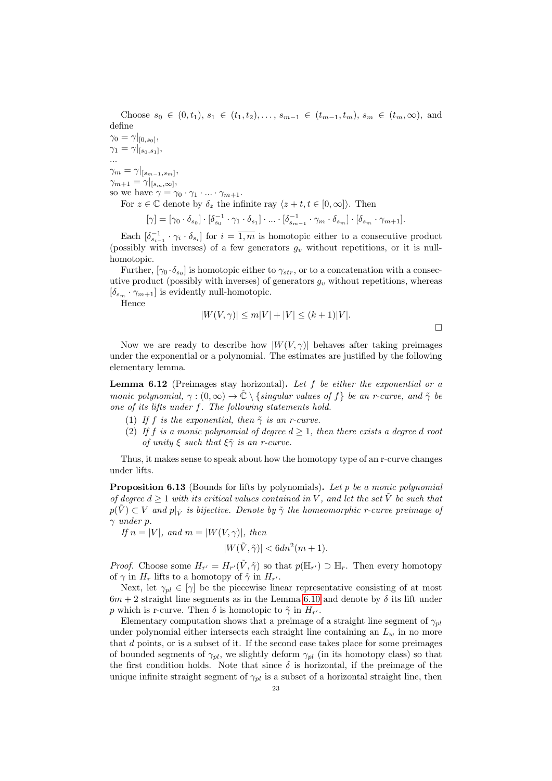Choose  $s_0 \in (0, t_1), s_1 \in (t_1, t_2), \ldots, s_{m-1} \in (t_{m-1}, t_m), s_m \in (t_m, \infty)$ , and define

 $\gamma_0 = \gamma|_{[0,s_0]},$  $\gamma_1 = \gamma|_{[s_0,s_1]},$ 

...  $\gamma_m = \gamma|_{[s_{m-1}, s_m]},$  $\gamma_{m+1} = \gamma|_{[s_m,\infty]},$ 

so we have  $\gamma = \gamma_0 \cdot \gamma_1 \cdot ... \cdot \gamma_{m+1}$ .

For  $z \in \mathbb{C}$  denote by  $\delta_z$  the infinite ray  $\langle z + t, t \in [0, \infty] \rangle$ . Then

$$
[\gamma] = [\gamma_0 \cdot \delta_{s_0}] \cdot [\delta_{s_0}^{-1} \cdot \gamma_1 \cdot \delta_{s_1}] \cdot \ldots \cdot [\delta_{s_{m-1}}^{-1} \cdot \gamma_m \cdot \delta_{s_m}] \cdot [\delta_{s_m} \cdot \gamma_{m+1}].
$$

Each  $[\delta_{s_{i-1}}^{-1} \cdot \gamma_i \cdot \delta_{s_i}]$  for  $i = \overline{1,m}$  is homotopic either to a consecutive product (possibly with inverses) of a few generators  $g_v$  without repetitions, or it is nullhomotopic.

Further,  $[\gamma_0 \cdot \delta_{s_0}]$  is homotopic either to  $\gamma_{str}$ , or to a concatenation with a consecutive product (possibly with inverses) of generators  $g_v$  without repetitions, whereas  $[\delta_{s_m} \cdot \gamma_{m+1}]$  is evidently null-homotopic.

Hence

$$
|W(V,\gamma)| \le m|V| + |V| \le (k+1)|V|.
$$

Now we are ready to describe how  $|W(V, \gamma)|$  behaves after taking preimages under the exponential or a polynomial. The estimates are justified by the following elementary lemma.

**Lemma 6.12** (Preimages stay horizontal). Let f be either the exponential or a monic polynomial,  $\gamma : (0, \infty) \to \hat{\mathbb{C}} \setminus \{singular \ values \ of \ f\}$  be an r-curve, and  $\tilde{\gamma}$  be one of its lifts under f. The following statements hold.

- (1) If f is the exponential, then  $\tilde{\gamma}$  is an r-curve.
- (2) If f is a monic polynomial of degree  $d \geq 1$ , then there exists a degree d root of unity  $\xi$  such that  $\xi \tilde{\gamma}$  is an r-curve.

Thus, it makes sense to speak about how the homotopy type of an r-curve changes under lifts.

<span id="page-22-0"></span>Proposition 6.13 (Bounds for lifts by polynomials). Let p be a monic polynomial of degree  $d \geq 1$  with its critical values contained in V, and let the set V be such that  $p(\hat{V}) \subset V$  and  $p|_{\tilde{V}}$  is bijective. Denote by  $\tilde{\gamma}$  the homeomorphic r-curve preimage of  $\gamma$  under p.

If  $n = |V|$ , and  $m = |W(V, \gamma)|$ , then

$$
|W(\tilde{V}, \tilde{\gamma})| < 6dn^2(m+1).
$$

*Proof.* Choose some  $H_{r'} = H_{r'}(\tilde{V}, \tilde{\gamma})$  so that  $p(\mathbb{H}_{r'}) \supset \mathbb{H}_r$ . Then every homotopy of  $\gamma$  in  $H_r$  lifts to a homotopy of  $\tilde{\gamma}$  in  $H_{r'}$ .

Next, let  $\gamma_{pl} \in [\gamma]$  be the piecewise linear representative consisting of at most  $6m + 2$  straight line segments as in the Lemma [6.10](#page-21-0) and denote by  $\delta$  its lift under p which is r-curve. Then  $\delta$  is homotopic to  $\tilde{\gamma}$  in  $H_{r'}$ .

Elementary computation shows that a preimage of a straight line segment of  $\gamma_{pl}$ under polynomial either intersects each straight line containing an  $L_w$  in no more that d points, or is a subset of it. If the second case takes place for some preimages of bounded segments of  $\gamma_{pl}$ , we slightly deform  $\gamma_{pl}$  (in its homotopy class) so that the first condition holds. Note that since  $\delta$  is horizontal, if the preimage of the unique infinite straight segment of  $\gamma_{pl}$  is a subset of a horizontal straight line, then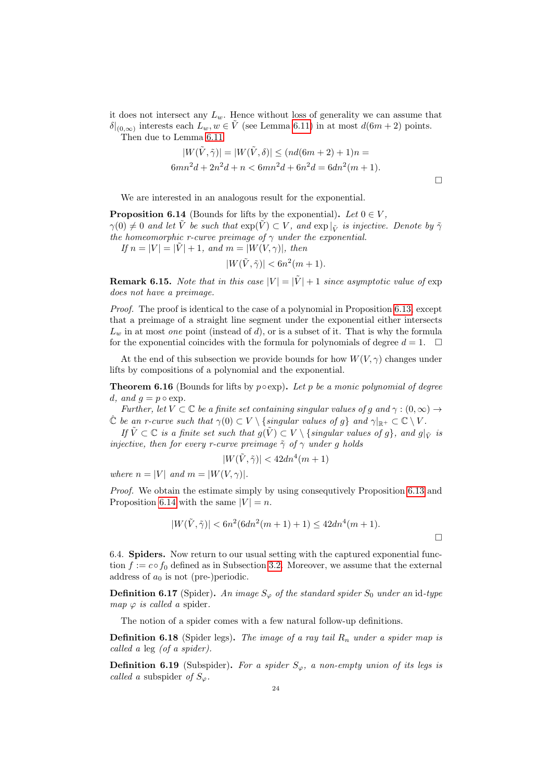it does not intersect any  $L_w$ . Hence without loss of generality we can assume that  $\delta|_{(0,\infty)}$  interests each  $L_w, w \in \tilde{V}$  (see Lemma [6.11\)](#page-21-1) in at most  $d(6m+2)$  points.

Then due to Lemma [6.11](#page-21-1)

$$
|W(\tilde{V}, \tilde{\gamma})| = |W(\tilde{V}, \delta)| \le (nd(6m + 2) + 1)n =
$$
  
6mn<sup>2</sup>d + 2n<sup>2</sup>d + n < 6mn<sup>2</sup>d + 6n<sup>2</sup>d = 6dn<sup>2</sup>(m + 1).

We are interested in an analogous result for the exponential.

<span id="page-23-0"></span>**Proposition 6.14** (Bounds for lifts by the exponential). Let  $0 \in V$ ,  $\gamma(0) \neq 0$  and let  $\tilde{V}$  be such that  $\exp(\tilde{V}) \subset V$ , and  $\exp\vert_{\tilde{V}}$  is injective. Denote by  $\tilde{\gamma}$ the homeomorphic r-curve preimage of  $\gamma$  under the exponential. If  $n = |V| = |\tilde{V}| + 1$ , and  $m = |W(V, \gamma)|$ , then

$$
|W(\tilde{V}, \tilde{\gamma})| < 6n^2(m+1).
$$

**Remark 6.15.** Note that in this case  $|V| = |\tilde{V}| + 1$  since asymptotic value of exp does not have a preimage.

Proof. The proof is identical to the case of a polynomial in Proposition [6.13,](#page-22-0) except that a preimage of a straight line segment under the exponential either intersects  $L_w$  in at most *one* point (instead of  $d$ ), or is a subset of it. That is why the formula for the exponential coincides with the formula for polynomials of degree  $d = 1$ .  $\Box$ 

At the end of this subsection we provide bounds for how  $W(V, \gamma)$  changes under lifts by compositions of a polynomial and the exponential.

<span id="page-23-1"></span>**Theorem 6.16** (Bounds for lifts by  $p \circ \exp$ ). Let p be a monic polynomial of degree d, and  $g = p \circ \exp$ .

Further, let  $V \subset \mathbb{C}$  be a finite set containing singular values of g and  $\gamma : (0, \infty) \to$  $\hat{\mathbb{C}}$  be an r-curve such that  $\gamma(0) \subset V \setminus {\text{singular values of g}}$  and  $\gamma|_{\mathbb{R}^+} \subset \mathbb{C} \setminus V$ .

If  $\tilde{V} \subset \mathbb{C}$  is a finite set such that  $g(\tilde{V}) \subset V \setminus \{ singular \ values \ of \ g\}$ , and  $g|_{\tilde{V}}$  is injective, then for every r-curve preimage  $\tilde{\gamma}$  of  $\gamma$  under g holds

$$
|W(\tilde{V},\tilde{\gamma})|<42dn^4(m+1)
$$

where  $n = |V|$  and  $m = |W(V, \gamma)|$ .

Proof. We obtain the estimate simply by using consequtively Proposition [6.13](#page-22-0) and Proposition [6.14](#page-23-0) with the same  $|V| = n$ .

$$
|W(\tilde{V}, \tilde{\gamma})| < 6n^2(6dn^2(m+1)+1) \le 42dn^4(m+1).
$$

 $\Box$ 

6.4. Spiders. Now return to our usual setting with the captured exponential function  $f := c \circ f_0$  defined as in Subsection [3.2.](#page-10-0) Moreover, we assume that the external address of  $a_0$  is not (pre-)periodic.

**Definition 6.17** (Spider). An image  $S_{\varphi}$  of the standard spider  $S_0$  under an id-type map  $\varphi$  is called a spider.

The notion of a spider comes with a few natural follow-up definitions.

**Definition 6.18** (Spider legs). The image of a ray tail  $R_n$  under a spider map is called a leg (of a spider).

**Definition 6.19** (Subspider). For a spider  $S_{\varphi}$ , a non-empty union of its legs is called a subspider of  $S_{\varphi}$ .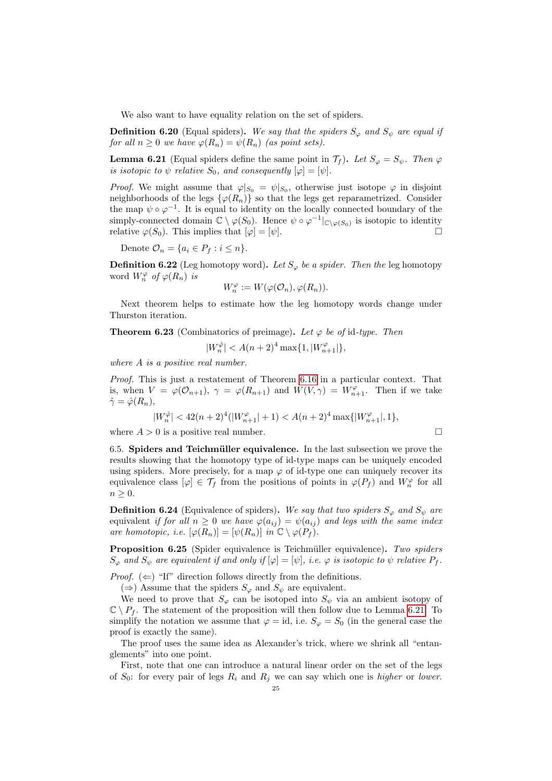We also want to have equality relation on the set of spiders.

**Definition 6.20** (Equal spiders). We say that the spiders  $S_{\varphi}$  and  $S_{\psi}$  are equal if for all  $n > 0$  we have  $\varphi(R_n) = \psi(R_n)$  (as point sets).

<span id="page-24-1"></span>**Lemma 6.21** (Equal spiders define the same point in  $\mathcal{T}_f$ ). Let  $S_{\varphi} = S_{\psi}$ . Then  $\varphi$ is isotopic to  $\psi$  relative  $S_0$ , and consequently  $[\varphi] = [\psi]$ .

*Proof.* We might assume that  $\varphi|_{S_0} = \psi|_{S_0}$ , otherwise just isotope  $\varphi$  in disjoint neighborhoods of the legs  $\{\varphi(R_n)\}\$  so that the legs get reparametrized. Consider the map  $\psi \circ \varphi^{-1}$ . It is equal to identity on the locally connected boundary of the simply-connected domain  $\mathbb{C} \setminus \varphi(S_0)$ . Hence  $\psi \circ \varphi^{-1}|_{\mathbb{C} \setminus \varphi(S_0)}$  is isotopic to identity relative  $\varphi(S_0)$ . This implies that  $[\varphi] = [\psi]$ .

Denote  $\mathcal{O}_n = \{a_i \in P_f : i \leq n\}.$ 

**Definition 6.22** (Leg homotopy word). Let  $S_{\varphi}$  be a spider. Then the leg homotopy word  $W_n^{\varphi}$  of  $\varphi(R_n)$  is

$$
W_n^{\varphi}:=W(\varphi(\mathcal{O}_n),\varphi(R_n)).
$$

Next theorem helps to estimate how the leg homotopy words change under Thurston iteration.

<span id="page-24-0"></span>**Theorem 6.23** (Combinatorics of preimage). Let  $\varphi$  be of id-type. Then

$$
|W_n^{\hat{\varphi}}| < A(n+2)^4 \max\{1,|W_{n+1}^{\varphi}|\},
$$

where A is a positive real number.

Proof. This is just a restatement of Theorem [6.16](#page-23-1) in a particular context. That is, when  $V = \varphi(\mathcal{O}_{n+1}), \gamma = \varphi(R_{n+1})$  and  $W(V, \gamma) = W_{n+1}^{\varphi}$ . Then if we take  $\tilde{\gamma} = \hat{\varphi}(R_n),$ 

$$
|W_n^{\hat{\varphi}}| < 42(n+2)^4(|W_{n+1}^{\varphi}|+1) < A(n+2)^4\max\{|W_{n+1}^{\varphi}|,1\},
$$

where  $A > 0$  is a positive real number.

6.5. Spiders and Teichmüller equivalence. In the last subsection we prove the results showing that the homotopy type of id-type maps can be uniquely encoded using spiders. More precisely, for a map  $\varphi$  of id-type one can uniquely recover its equivalence class  $[\varphi] \in \mathcal{T}_f$  from the positions of points in  $\varphi(P_f)$  and  $W_n^{\varphi}$  for all  $n \geq 0$ .

**Definition 6.24** (Equivalence of spiders). We say that two spiders  $S_{\varphi}$  and  $S_{\psi}$  are equivalent if for all  $n \geq 0$  we have  $\varphi(a_{ij}) = \psi(a_{ij})$  and legs with the same index are homotopic, i.e.  $[\varphi(R_n)] = [\psi(R_n)]$  in  $\mathbb{C} \setminus \varphi(P_f)$ .

<span id="page-24-2"></span>Proposition 6.25 (Spider equivalence is Teichmüller equivalence). Two spiders  $S_{\varphi}$  and  $S_{\psi}$  are equivalent if and only if  $[\varphi] = [\psi]$ , i.e.  $\varphi$  is isotopic to  $\psi$  relative  $P_f$ .

*Proof.*  $(\Leftarrow)$  "If" direction follows directly from the definitions.

(⇒) Assume that the spiders  $S_{\varphi}$  and  $S_{\psi}$  are equivalent.

We need to prove that  $S_{\varphi}$  can be isotoped into  $S_{\psi}$  via an ambient isotopy of  $\mathbb{C} \setminus P_f$ . The statement of the proposition will then follow due to Lemma [6.21.](#page-24-1) To simplify the notation we assume that  $\varphi = id$ , i.e.  $S_{\varphi} = S_0$  (in the general case the proof is exactly the same).

The proof uses the same idea as Alexander's trick, where we shrink all "entanglements" into one point.

First, note that one can introduce a natural linear order on the set of the legs of  $S_0$ : for every pair of legs  $R_i$  and  $R_j$  we can say which one is higher or lower.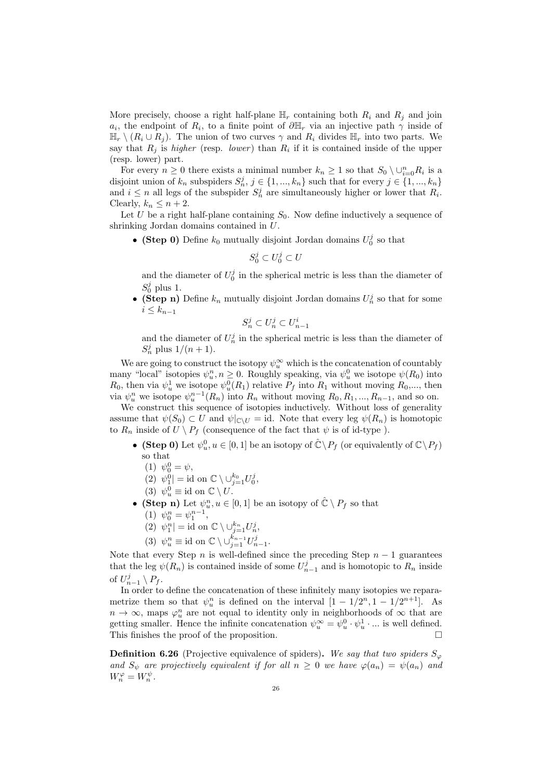More precisely, choose a right half-plane  $\mathbb{H}_r$  containing both  $R_i$  and  $R_j$  and join  $a_i$ , the endpoint of  $R_i$ , to a finite point of  $\partial \mathbb{H}_r$  via an injective path  $\gamma$  inside of  $\mathbb{H}_r \setminus (R_i \cup R_j)$ . The union of two curves  $\gamma$  and  $R_i$  divides  $\mathbb{H}_r$  into two parts. We say that  $R_j$  is *higher* (resp. *lower*) than  $R_i$  if it is contained inside of the upper (resp. lower) part.

For every  $n \geq 0$  there exists a minimal number  $k_n \geq 1$  so that  $S_0 \setminus \cup_{i=0}^n R_i$  is a disjoint union of  $k_n$  subspiders  $S_n^j$ ,  $j \in \{1, ..., k_n\}$  such that for every  $j \in \{1, ..., k_n\}$ and  $i \leq n$  all legs of the subspider  $S_n^j$  are simultaneously higher or lower that  $R_i$ . Clearly,  $k_n \leq n+2$ .

Let U be a right half-plane containing  $S_0$ . Now define inductively a sequence of shrinking Jordan domains contained in U.

• (Step 0) Define  $k_0$  mutually disjoint Jordan domains  $U_0^j$  so that

 $S_0^j \subset U_0^j \subset U$ 

and the diameter of  $U_0^j$  in the spherical metric is less than the diameter of  $S_0^j$  plus 1.

• (Step n) Define  $k_n$  mutually disjoint Jordan domains  $U_n^j$  so that for some  $i \leq k_{n-1}$ 

$$
S_n^j \subset U_n^j \subset U_{n-1}^i
$$

and the diameter of  $U_n^j$  in the spherical metric is less than the diameter of  $S_n^j$  plus  $1/(n+1)$ .

We are going to construct the isotopy  $\psi_u^{\infty}$  which is the concatenation of countably many "local" isotopies  $\psi_u^n, n \geq 0$ . Roughly speaking, via  $\psi_u^0$  we isotope  $\psi(R_0)$  into  $R_0$ , then via  $\psi_u^1$  we isotope  $\psi_u^0(R_1)$  relative  $P_f$  into  $R_1$  without moving  $R_0$ ,..., then via  $\psi_u^n$  we isotope  $\psi_u^{n-1}(R_n)$  into  $R_n$  without moving  $R_0, R_1, ..., R_{n-1}$ , and so on.

We construct this sequence of isotopies inductively. Without loss of generality assume that  $\psi(S_0) \subset U$  and  $\psi|_{\mathbb{C}\setminus U} = \text{id}$ . Note that every leg  $\psi(R_n)$  is homotopic to  $R_n$  inside of  $U \setminus P_f$  (consequence of the fact that  $\psi$  is of id-type).

- (Step 0) Let  $\psi_u^0, u \in [0, 1]$  be an isotopy of  $\hat{\mathbb{C}} \setminus P_f$  (or equivalently of  $\mathbb{C} \setminus P_f$ ) so that
	- (1)  $\psi_0^0 = \psi$ ,

(2) 
$$
\psi_1^0
$$
 = id on  $\mathbb{C} \setminus \bigcup_{j=1}^{k_0} U_0^j$ ,

- (3)  $\psi_u^0 \equiv \text{id} \text{ on } \mathbb{C} \setminus U$ .
- (Step n) Let  $\psi_u^n, u \in [0,1]$  be an isotopy of  $\hat{\mathbb{C}} \setminus P_f$  so that (1)  $\psi_0^n = \psi_1^{n-1}$ ,
	- (2)  $\psi_1^n$  = id on  $\mathbb{C} \setminus \bigcup_{j=1}^{k_n} U_n^j$ ,
	- (3)  $\psi_u^n \equiv \text{id} \text{ on } \mathbb{C} \setminus \cup_{j=1}^{k_{n-1}} U_{n-1}^j$ .

Note that every Step n is well-defined since the preceding Step  $n-1$  guarantees that the leg  $\psi(R_n)$  is contained inside of some  $U_{n-1}^j$  and is homotopic to  $R_n$  inside of  $U_{n-1}^j \setminus P_f$ .

In order to define the concatenation of these infinitely many isotopies we reparametrize them so that  $\psi_u^n$  is defined on the interval  $[1 - 1/2^n, 1 - 1/2^{n+1}]$ . As  $n \to \infty$ , maps  $\varphi_u^n$  are not equal to identity only in neighborhoods of  $\infty$  that are getting smaller. Hence the infinite concatenation  $\psi_u^{\infty} = \psi_u^0 \cdot \psi_u^1 \cdot ...$  is well defined. This finishes the proof of the proposition.

<span id="page-25-0"></span>**Definition 6.26** (Projective equivalence of spiders). We say that two spiders  $S_{\varphi}$ and  $S_{\psi}$  are projectively equivalent if for all  $n \geq 0$  we have  $\varphi(a_n) = \psi(a_n)$  and  $W_n^{\varphi} = W_n^{\psi}.$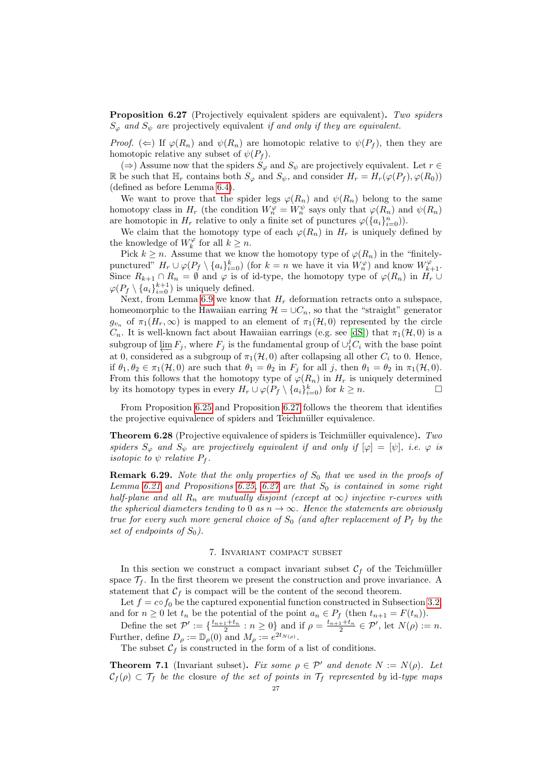<span id="page-26-3"></span>Proposition 6.27 (Projectively equivalent spiders are equivalent). Two spiders  $S_{\varphi}$  and  $S_{\psi}$  are projectively equivalent if and only if they are equivalent.

*Proof.* ( $\Leftarrow$ ) If  $\varphi(R_n)$  and  $\psi(R_n)$  are homotopic relative to  $\psi(P_f)$ , then they are homotopic relative any subset of  $\psi(P_f)$ .

(⇒) Assume now that the spiders  $S_{\varphi}$  and  $S_{\psi}$  are projectively equivalent. Let  $r \in$ R be such that  $\mathbb{H}_r$  contains both  $S_{\varphi}$  and  $S_{\psi}$ , and consider  $H_r = H_r(\varphi(P_f), \varphi(R_0))$ (defined as before Lemma [6.4\)](#page-18-0).

We want to prove that the spider legs  $\varphi(R_n)$  and  $\psi(R_n)$  belong to the same homotopy class in  $H_r$  (the condition  $W_n^{\varphi} = W_n^{\psi}$  says only that  $\varphi(R_n)$  and  $\psi(R_n)$ are homotopic in  $H_r$  relative to only a finite set of punctures  $\varphi(\{a_i\}_{i=0}^n)$ .

We claim that the homotopy type of each  $\varphi(R_n)$  in  $H_r$  is uniquely defined by the knowledge of  $W_k^{\varphi}$  for all  $k \geq n$ .

Pick  $k \geq n$ . Assume that we know the homotopy type of  $\varphi(R_n)$  in the "finitelypunctured"  $H_r \cup \varphi(P_f \setminus \{a_i\}_{i=0}^k)$  (for  $k=n$  we have it via  $W_r^{\varphi}$ ) and know  $W_{k+1}^{\varphi}$ . Since  $R_{k+1} \cap R_n = \emptyset$  and  $\varphi$  is of id-type, the homotopy type of  $\varphi(R_n)$  in  $H_r \cup$  $\varphi(P_f \setminus \{a_i\}_{i=0}^{k+1})$  is uniquely defined.

Next, from Lemma [6.9](#page-20-0) we know that  $H_r$  deformation retracts onto a subspace, homeomorphic to the Hawaiian earring  $\mathcal{H} = \cup C_n$ , so that the "straight" generator  $g_{v_n}$  of  $\pi_1(H_r,\infty)$  is mapped to an element of  $\pi_1(H,0)$  represented by the circle  $C_n$ . It is well-known fact about Hawaiian earrings (e.g. see [\[dS\]](#page-32-19)) that  $\pi_1(\mathcal{H}, 0)$  is a subgroup of  $\varprojlim F_j$ , where  $F_j$  is the fundamental group of  $\cup_1^j C_i$  with the base point at 0, considered as a subgroup of  $\pi_1(\mathcal{H}, 0)$  after collapsing all other  $C_i$  to 0. Hence, if  $\theta_1, \theta_2 \in \pi_1(\mathcal{H}, 0)$  are such that  $\theta_1 = \theta_2$  in  $F_j$  for all j, then  $\theta_1 = \theta_2$  in  $\pi_1(\mathcal{H}, 0)$ . From this follows that the homotopy type of  $\varphi(R_n)$  in  $H_r$  is uniquely determined by its homotopy types in every  $H_r \cup \varphi(P_f \setminus \{a_i\}_{i=0}^k)$  for  $k \geq n$ .

From Proposition [6.25](#page-24-2) and Proposition [6.27](#page-26-3) follows the theorem that identifies the projective equivalence of spiders and Teichmüller equivalence.

<span id="page-26-1"></span>Theorem 6.28 (Projective equivalence of spiders is Teichmüller equivalence). Two spiders  $S_{\varphi}$  and  $S_{\psi}$  are projectively equivalent if and only if  $[\varphi] = [\psi]$ , i.e.  $\varphi$  is *isotopic to*  $\psi$  *relative*  $P_f$ .

**Remark 6.29.** Note that the only properties of  $S_0$  that we used in the proofs of Lemma [6.21](#page-24-1) and Propositions [6.25,](#page-24-2) [6.27](#page-26-3) are that  $S_0$  is contained in some right half-plane and all  $R_n$  are mutually disjoint (except at  $\infty$ ) injective r-curves with the spherical diameters tending to 0 as  $n \to \infty$ . Hence the statements are obviously true for every such more general choice of  $S_0$  (and after replacement of  $P_f$  by the set of endpoints of  $S_0$ ).

# 7. Invariant compact subset

<span id="page-26-0"></span>In this section we construct a compact invariant subset  $C_f$  of the Teichmüller space  $\mathcal{T}_f$ . In the first theorem we present the construction and prove invariance. A statement that  $C_f$  is compact will be the content of the second theorem.

Let  $f = \cos f_0$  be the captured exponential function constructed in Subsection [3.2,](#page-10-0) and for  $n \geq 0$  let  $t_n$  be the potential of the point  $a_n \in P_f$  (then  $t_{n+1} = F(t_n)$ ).

Define the set  $\mathcal{P}' := \{ \frac{t_{n+1}+t_n}{2} : n \geq 0 \}$  and if  $\rho = \frac{t_{n+1}+t_n}{2} \in \mathcal{P}'$ , let  $N(\rho) := n$ . Further, define  $D_{\rho} := \mathbb{D}_{\rho}(0)$  and  $M_{\rho} := e^{2t_{N(\rho)}}$ .

The subset  $C_f$  is constructed in the form of a list of conditions.

<span id="page-26-2"></span>**Theorem 7.1** (Invariant subset). Fix some  $\rho \in \mathcal{P}'$  and denote  $N := N(\rho)$ . Let  $C_f(\rho) \subset \mathcal{T}_f$  be the closure of the set of points in  $\mathcal{T}_f$  represented by id-type maps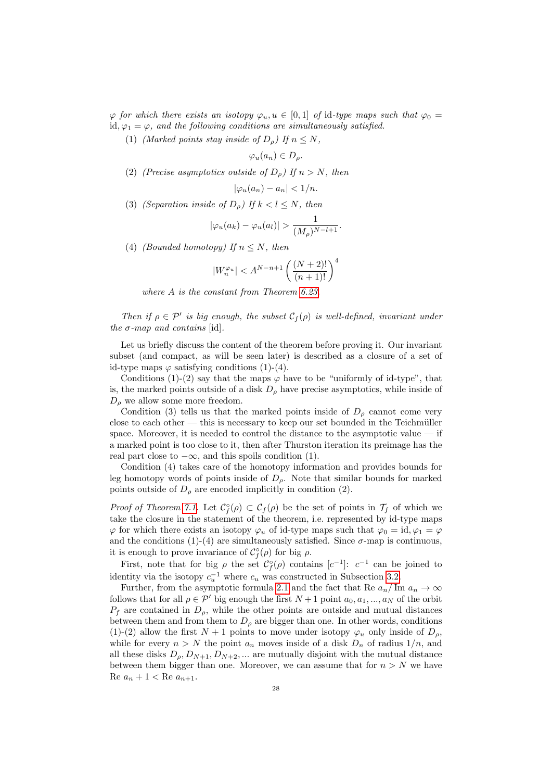$\varphi$  for which there exists an isotopy  $\varphi_u, u \in [0,1]$  of id-type maps such that  $\varphi_0 =$ id,  $\varphi_1 = \varphi$ , and the following conditions are simultaneously satisfied.

(1) (Marked points stay inside of  $D<sub>o</sub>$ ) If  $n \leq N$ ,

$$
\varphi_u(a_n) \in D_\rho.
$$

(2) (Precise asymptotics outside of  $D<sub>o</sub>$ ) If  $n > N$ , then

$$
|\varphi_u(a_n) - a_n| < \frac{1}{n}.
$$

(3) (Separation inside of  $D_{\rho}$ ) If  $k < l \leq N$ , then

$$
|\varphi_u(a_k) - \varphi_u(a_l)| > \frac{1}{(M_\rho)^{N-l+1}}.
$$

(4) (Bounded homotopy) If  $n \leq N$ , then

$$
|W_n^{\varphi_u}| < A^{N-n+1} \left( \frac{(N+2)!}{(n+1)!} \right)^4
$$

where A is the constant from Theorem [6.23.](#page-24-0)

Then if  $\rho \in \mathcal{P}'$  is big enough, the subset  $\mathcal{C}_f(\rho)$  is well-defined, invariant under the  $\sigma$ -map and contains [id].

Let us briefly discuss the content of the theorem before proving it. Our invariant subset (and compact, as will be seen later) is described as a closure of a set of id-type maps  $\varphi$  satisfying conditions (1)-(4).

Conditions (1)-(2) say that the maps  $\varphi$  have to be "uniformly of id-type", that is, the marked points outside of a disk  $D_{\rho}$  have precise asymptotics, while inside of  $D_{\rho}$  we allow some more freedom.

Condition (3) tells us that the marked points inside of  $D_{\rho}$  cannot come very close to each other — this is necessary to keep our set bounded in the Teichmüller space. Moreover, it is needed to control the distance to the asymptotic value — if a marked point is too close to it, then after Thurston iteration its preimage has the real part close to  $-\infty$ , and this spoils condition (1).

Condition (4) takes care of the homotopy information and provides bounds for leg homotopy words of points inside of  $D_{\rho}$ . Note that similar bounds for marked points outside of  $D_{\rho}$  are encoded implicitly in condition (2).

Proof of Theorem [7.1.](#page-26-2) Let  $\mathcal{C}^{\circ}_{f}(\rho) \subset \mathcal{C}_{f}(\rho)$  be the set of points in  $\mathcal{T}_{f}$  of which we take the closure in the statement of the theorem, i.e. represented by id-type maps  $\varphi$  for which there exists an isotopy  $\varphi_u$  of id-type maps such that  $\varphi_0 = id, \varphi_1 = \varphi$ and the conditions (1)-(4) are simultaneously satisfied. Since  $\sigma$ -map is continuous, it is enough to prove invariance of  $\mathcal{C}^{\circ}_{f}(\rho)$  for big  $\rho$ .

First, note that for big  $\rho$  the set  $\mathcal{C}^{\circ}_{f}(\rho)$  contains  $[c^{-1}]$ :  $c^{-1}$  can be joined to identity via the isotopy  $c_u^{-1}$  where  $c_u$  was constructed in Subsection [3.2.](#page-10-0)

Further, from the asymptotic formula [2.1](#page-6-0) and the fact that Re  $a_n / \text{Im } a_n \to \infty$ follows that for all  $\rho \in \mathcal{P}'$  big enough the first  $N + 1$  point  $a_0, a_1, ..., a_N$  of the orbit  $P_f$  are contained in  $D_\rho$ , while the other points are outside and mutual distances between them and from them to  $D_{\rho}$  are bigger than one. In other words, conditions (1)-(2) allow the first  $N+1$  points to move under isotopy  $\varphi_u$  only inside of  $D_{\varphi}$ . while for every  $n > N$  the point  $a_n$  moves inside of a disk  $D_n$  of radius  $1/n$ , and all these disks  $D_{\rho}, D_{N+1}, D_{N+2}, ...$  are mutually disjoint with the mutual distance between them bigger than one. Moreover, we can assume that for  $n > N$  we have Re  $a_n + 1 <$  Re  $a_{n+1}$ .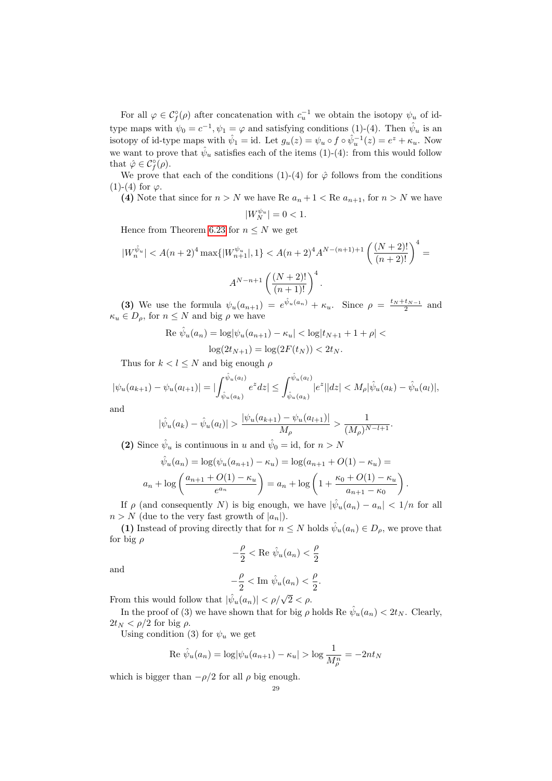For all  $\varphi \in \mathcal{C}_{f}^{\circ}(\rho)$  after concatenation with  $c_{u}^{-1}$  we obtain the isotopy  $\psi_{u}$  of idtype maps with  $\psi_0 = c^{-1}, \psi_1 = \varphi$  and satisfying conditions (1)-(4). Then  $\hat{\psi}_u$  is an isotopy of id-type maps with  $\hat{\psi}_1 = id$ . Let  $g_u(z) = \psi_u \circ f \circ \hat{\psi}_u^{-1}(z) = e^z + \kappa_u$ . Now we want to prove that  $\hat{\psi}_u$  satisfies each of the items (1)-(4): from this would follow that  $\hat{\varphi} \in \mathcal{C}^{\circ}_{f}(\rho)$ .

We prove that each of the conditions (1)-(4) for  $\hat{\varphi}$  follows from the conditions (1)-(4) for  $\varphi$ .

(4) Note that since for  $n > N$  we have Re  $a_n + 1 <$  Re  $a_{n+1}$ , for  $n > N$  we have

$$
|W_N^{\psi_u}|=0<1.
$$

Hence from Theorem [6.23](#page-24-0) for  $n \leq N$  we get

$$
|W_n^{\hat{\psi}_u}| < A(n+2)^4 \max\{|W_{n+1}^{\psi_u}|, 1\} < A(n+2)^4 A^{N-(n+1)+1} \left(\frac{(N+2)!}{(n+2)!}\right)^4 = A^{N-n+1} \left(\frac{(N+2)!}{(n+1)!}\right)^4.
$$

(3) We use the formula  $\psi_u(a_{n+1}) = e^{\hat{\psi}_u(a_n)} + \kappa_u$ . Since  $\rho = \frac{t_N + t_{N-1}}{2}$  and  $\kappa_u \in D_\rho$ , for  $n \leq N$  and big  $\rho$  we have

Re 
$$
\hat{\psi}_u(a_n) = \log |\psi_u(a_{n+1}) - \kappa_u| < \log |t_{N+1} + 1 + \rho| <
$$
  
 $\log(2t_{N+1}) = \log(2F(t_N)) < 2t_N.$ 

Thus for  $k < l \leq N$  and big enough  $\rho$ 

$$
|\psi_u(a_{k+1}) - \psi_u(a_{l+1})| = |\int_{\hat{\psi}_u(a_k)}^{\hat{\psi}_u(a_l)} e^z dz| \leq \int_{\hat{\psi}_u(a_k)}^{\hat{\psi}_u(a_l)} |e^z||dz| < M_\rho |\hat{\psi}_u(a_k) - \hat{\psi}_u(a_l)|,
$$

and

$$
|\hat{\psi}_u(a_k) - \hat{\psi}_u(a_l)| > \frac{|\psi_u(a_{k+1}) - \psi_u(a_{l+1})|}{M_\rho} > \frac{1}{(M_\rho)^{N-l+1}}.
$$

(2) Since  $\hat{\psi}_u$  is continuous in u and  $\hat{\psi}_0 = id$ , for  $n > N$ 

$$
\hat{\psi}_u(a_n) = \log(\psi_u(a_{n+1}) - \kappa_u) = \log(a_{n+1} + O(1) - \kappa_u) =
$$
  

$$
a_n + \log\left(\frac{a_{n+1} + O(1) - \kappa_u}{e^{a_n}}\right) = a_n + \log\left(1 + \frac{\kappa_0 + O(1) - \kappa_u}{a_{n+1} - \kappa_0}\right).
$$

If  $\rho$  (and consequently N) is big enough, we have  $|\hat{\psi}_u(a_n) - a_n| < 1/n$  for all  $n > N$  (due to the very fast growth of  $|a_n|$ ).

(1) Instead of proving directly that for  $n \leq N$  holds  $\hat{\psi}_u(a_n) \in D_\rho$ , we prove that for big  $\rho$ 

$$
-\frac{\rho}{2} < \text{Re } \hat{\psi}_u(a_n) < \frac{\rho}{2}
$$

and

$$
-\frac{\rho}{2} < \text{Im } \hat{\psi}_u(a_n) < \frac{\rho}{2}.
$$

From this would follow that  $|\hat{\psi}_u(a_n)| < \rho/\sqrt{2} < \rho$ .

In the proof of (3) we have shown that for big  $\rho$  holds Re  $\hat{\psi}_u(a_n) < 2t_N$ . Clearly,  $2t_N < \rho/2$  for big  $\rho$ .

Using condition (3) for  $\psi_u$  we get

$$
\operatorname{Re}\,\hat{\psi}_u(a_n) = \log|\psi_u(a_{n+1}) - \kappa_u| > \log \frac{1}{M^n_{\rho}} = -2nt_N
$$

which is bigger than  $-\rho/2$  for all  $\rho$  big enough.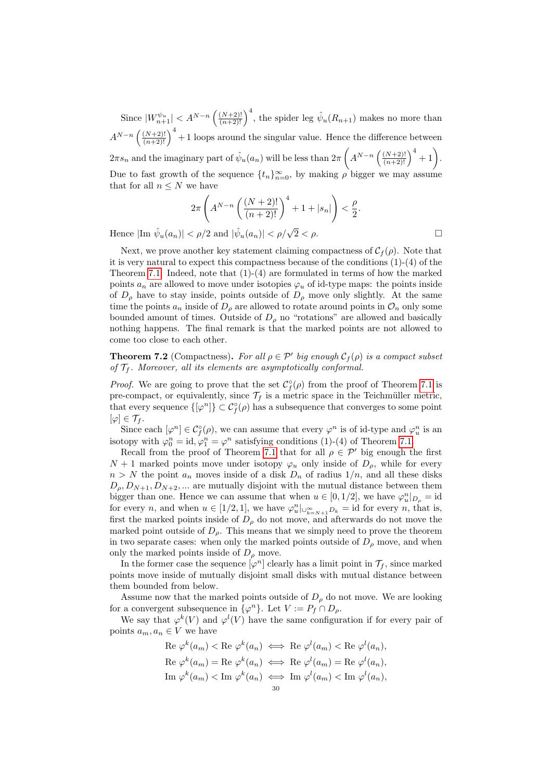Since  $|W_{n+1}^{\psi_u}| < A^{N-n} \left(\frac{(N+2)!}{(n+2)!}\right)^4$ , the spider leg  $\hat{\psi}_u(R_{n+1})$  makes no more than  $A^{N-n}\left(\frac{(N+2)!}{(n+2)!}\right)^4+1$  loops around the singular value. Hence the difference between  $2\pi s_n$  and the imaginary part of  $\hat{\psi}_u(a_n)$  will be less than  $2\pi \left(A^{N-n}\left(\frac{(N+2)!}{(n+2)!}\right)^4+1\right)$ . Due to fast growth of the sequence  $\{t_n\}_{n=0}^{\infty}$ , by making  $\rho$  bigger we may assume that for all  $n \leq N$  we have

$$
2\pi \left( A^{N-n} \left( \frac{(N+2)!}{(n+2)!} \right)^4 + 1 + |s_n| \right) < \frac{\rho}{2}.
$$

Hence  $|\text{Im } \hat{\psi}_u(a_n)| < \rho/2$  and  $|\hat{\psi}_u(a_n)| < \rho/\sqrt{2} < \rho$ .

Next, we prove another key statement claiming compactness of  $C_f(\rho)$ . Note that it is very natural to expect this compactness because of the conditions (1)-(4) of the Theorem [7.1.](#page-26-2) Indeed, note that  $(1)-(4)$  are formulated in terms of how the marked points  $a_n$  are allowed to move under isotopies  $\varphi_u$  of id-type maps: the points inside of  $D_{\rho}$  have to stay inside, points outside of  $D_{\rho}$  move only slightly. At the same time the points  $a_n$  inside of  $D_\rho$  are allowed to rotate around points in  $\mathcal{O}_n$  only some bounded amount of times. Outside of  $D_{\rho}$  no "rotations" are allowed and basically nothing happens. The final remark is that the marked points are not allowed to come too close to each other.

<span id="page-29-0"></span>**Theorem 7.2** (Compactness). For all  $\rho \in \mathcal{P}'$  big enough  $\mathcal{C}_f(\rho)$  is a compact subset of  $\mathcal{T}_f$ . Moreover, all its elements are asymptotically conformal.

*Proof.* We are going to prove that the set  $C_f^{\circ}(\rho)$  from the proof of Theorem [7.1](#page-26-2) is pre-compact, or equivalently, since  $\mathcal{T}_f$  is a metric space in the Teichmüller metric, that every sequence  $\{\varphi^n\}\subset \mathcal{C}^\circ_f(\rho)$  has a subsequence that converges to some point  $[\varphi]\in \mathcal{T}_f.$ 

Since each  $[\varphi^n] \in C_f^{\circ}(\rho)$ , we can assume that every  $\varphi^n$  is of id-type and  $\varphi^n_u$  is an isotopy with  $\varphi_0^n = \text{id}, \varphi_1^n = \varphi^n$  satisfying conditions (1)-(4) of Theorem [7.1.](#page-26-2)

Recall from the proof of Theorem [7.1](#page-26-2) that for all  $\rho \in \mathcal{P}'$  big enough the first  $N + 1$  marked points move under isotopy  $\varphi_u$  only inside of  $D_\rho$ , while for every  $n > N$  the point  $a_n$  moves inside of a disk  $D_n$  of radius  $1/n$ , and all these disks  $D_{\rho}, D_{N+1}, D_{N+2}, ...$  are mutually disjoint with the mutual distance between them bigger than one. Hence we can assume that when  $u \in [0, 1/2]$ , we have  $\varphi_u^n|_{D_\rho} = \text{id}$ for every *n*, and when  $u \in [1/2, 1]$ , we have  $\varphi_u^n|_{\cup_{k=N+1}^{\infty} D_k} = \text{id}$  for every *n*, that is, first the marked points inside of  $D<sub>\rho</sub>$  do not move, and afterwards do not move the marked point outside of  $D_{\rho}$ . This means that we simply need to prove the theorem in two separate cases: when only the marked points outside of  $D<sub>o</sub>$  move, and when only the marked points inside of  $D_{\rho}$  move.

In the former case the sequence  $[\varphi^n]$  clearly has a limit point in  $\mathcal{T}_f$ , since marked points move inside of mutually disjoint small disks with mutual distance between them bounded from below.

Assume now that the marked points outside of  $D<sub>\rho</sub>$  do not move. We are looking for a convergent subsequence in  $\{\varphi^n\}$ . Let  $V := P_f \cap D_\rho$ .

We say that  $\varphi^k(V)$  and  $\varphi^l(V)$  have the same configuration if for every pair of points  $a_m, a_n \in V$  we have

Re 
$$
\varphi^k(a_m) < \text{Re }\varphi^k(a_n) \iff \text{Re }\varphi^l(a_m) < \text{Re }\varphi^l(a_n),
$$
  
\nRe  $\varphi^k(a_m) = \text{Re }\varphi^k(a_n) \iff \text{Re }\varphi^l(a_m) = \text{Re }\varphi^l(a_n),$   
\nIm  $\varphi^k(a_m) < \text{Im }\varphi^k(a_n) \iff \text{Im }\varphi^l(a_m) < \text{Im }\varphi^l(a_n),$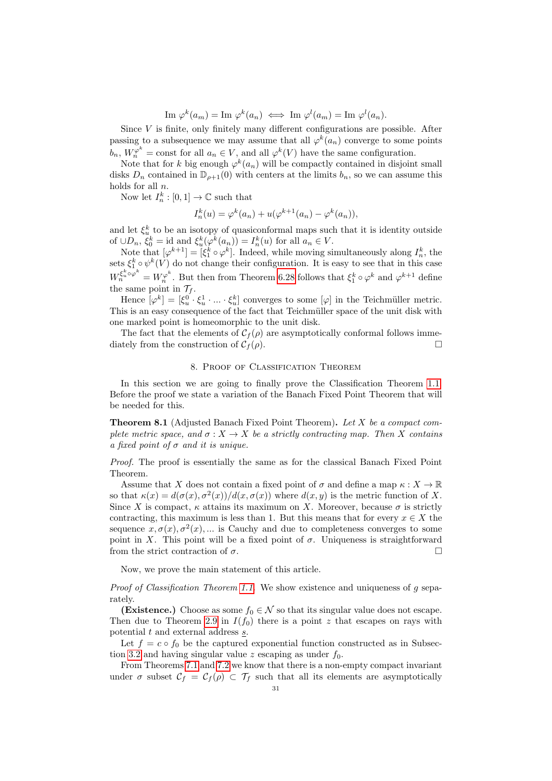$\text{Im }\varphi^k(a_m) = \text{Im }\varphi^k(a_n) \iff \text{Im }\varphi^l(a_m) = \text{Im }\varphi^l(a_n).$ 

Since  $V$  is finite, only finitely many different configurations are possible. After passing to a subsequence we may assume that all  $\varphi^k(a_n)$  converge to some points  $b_n$ ,  $W_n^{\varphi^k}$  = const for all  $a_n \in V$ , and all  $\varphi^k(V)$  have the same configuration.

Note that for k big enough  $\varphi^k(a_n)$  will be compactly contained in disjoint small disks  $D_n$  contained in  $\mathbb{D}_{\rho+1}(0)$  with centers at the limits  $b_n$ , so we can assume this holds for all n.

Now let  $I_n^k : [0,1] \to \mathbb{C}$  such that

$$
I_n^k(u) = \varphi^k(a_n) + u(\varphi^{k+1}(a_n) - \varphi^k(a_n)),
$$

and let  $\xi_u^k$  to be an isotopy of quasiconformal maps such that it is identity outside of  $\cup D_n$ ,  $\xi_0^k = \text{id}$  and  $\xi_u^k(\varphi^k(a_n)) = I_n^k(u)$  for all  $a_n \in V$ .

Note that  $[\varphi^{k+1}] = [\xi_1^k \circ \varphi^k]$ . Indeed, while moving simultaneously along  $I_n^k$ , the sets  $\xi_1^k \circ \psi^k(V)$  do not change their configuration. It is easy to see that in this case  $W_n^{\xi_n^k \circ \varphi^k} = W_n^{\varphi^k}$ . But then from Theorem [6.28](#page-26-1) follows that  $\xi_1^k \circ \varphi^k$  and  $\varphi^{k+1}$  define the same point in  $\mathcal{T}_f$ .

Hence  $[\varphi^k] = [\xi_u^0 \cdot \xi_u^1 \cdot \ldots \cdot \xi_u^k]$  converges to some  $[\varphi]$  in the Teichmüller metric. This is an easy consequence of the fact that Teichmüller space of the unit disk with one marked point is homeomorphic to the unit disk.

The fact that the elements of  $C_f(\rho)$  are asymptotically conformal follows immediately from the construction of  $C_f(\rho)$ .

#### 8. Proof of Classification Theorem

<span id="page-30-0"></span>In this section we are going to finally prove the Classification Theorem [1.1.](#page-4-0) Before the proof we state a variation of the Banach Fixed Point Theorem that will be needed for this.

<span id="page-30-1"></span>Theorem 8.1 (Adjusted Banach Fixed Point Theorem). Let X be a compact complete metric space, and  $\sigma: X \to X$  be a strictly contracting map. Then X contains a fixed point of  $\sigma$  and it is unique.

Proof. The proof is essentially the same as for the classical Banach Fixed Point Theorem.

Assume that X does not contain a fixed point of  $\sigma$  and define a map  $\kappa : X \to \mathbb{R}$ so that  $\kappa(x) = d(\sigma(x), \sigma^2(x))/d(x, \sigma(x))$  where  $d(x, y)$  is the metric function of X. Since X is compact,  $\kappa$  attains its maximum on X. Moreover, because  $\sigma$  is strictly contracting, this maximum is less than 1. But this means that for every  $x \in X$  the sequence  $x, \sigma(x), \sigma^2(x), \ldots$  is Cauchy and due to completeness converges to some point in X. This point will be a fixed point of  $\sigma$ . Uniqueness is straightforward from the strict contraction of  $\sigma$ .

Now, we prove the main statement of this article.

*Proof of Classification Theorem [1.1.](#page-4-0)* We show existence and uniqueness of g separately.

(Existence.) Choose as some  $f_0 \in \mathcal{N}$  so that its singular value does not escape. Then due to Theorem [2.9](#page-6-1) in  $I(f_0)$  there is a point z that escapes on rays with potential  $t$  and external address  $s$ .

Let  $f = c \circ f_0$  be the captured exponential function constructed as in Subsec-tion [3.2](#page-10-0) and having singular value z escaping as under  $f_0$ .

From Theorems [7.1](#page-26-2) and [7.2](#page-29-0) we know that there is a non-empty compact invariant under  $\sigma$  subset  $\mathcal{C}_f = \mathcal{C}_f(\rho) \subset \mathcal{T}_f$  such that all its elements are asymptotically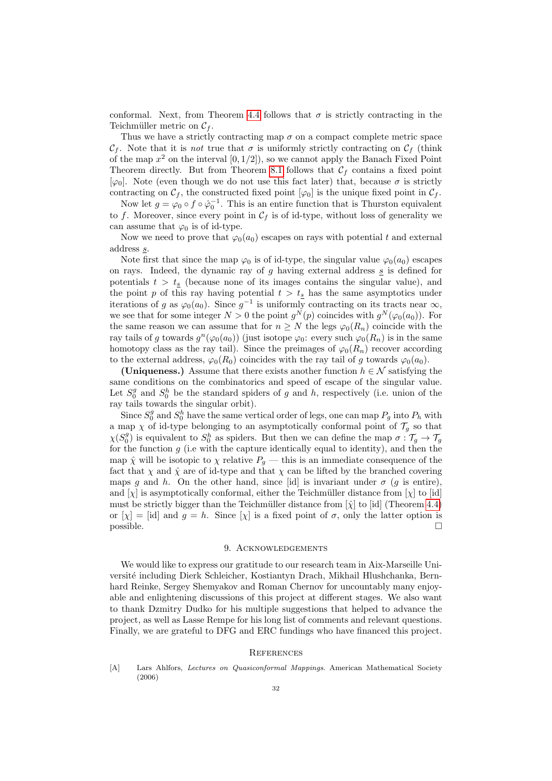conformal. Next, from Theorem [4.4](#page-15-2) follows that  $\sigma$  is strictly contracting in the Teichmüller metric on  $C_f$ .

Thus we have a strictly contracting map  $\sigma$  on a compact complete metric space  $\mathcal{C}_f$ . Note that it is not true that  $\sigma$  is uniformly strictly contracting on  $\mathcal{C}_f$  (think of the map  $x^2$  on the interval  $[0, 1/2]$ , so we cannot apply the Banach Fixed Point Theorem directly. But from Theorem [8.1](#page-30-1) follows that  $C_f$  contains a fixed point  $[\varphi_0]$ . Note (even though we do not use this fact later) that, because  $\sigma$  is strictly contracting on  $\mathcal{C}_f$ , the constructed fixed point  $[\varphi_0]$  is the unique fixed point in  $\mathcal{C}_f$ .

Now let  $g = \varphi_0 \circ f \circ \hat{\varphi}_0^{-1}$ . This is an entire function that is Thurston equivalent to f. Moreover, since every point in  $\mathcal{C}_f$  is of id-type, without loss of generality we can assume that  $\varphi_0$  is of id-type.

Now we need to prove that  $\varphi_0(a_0)$  escapes on rays with potential t and external address s.

Note first that since the map  $\varphi_0$  is of id-type, the singular value  $\varphi_0(a_0)$  escapes on rays. Indeed, the dynamic ray of  $g$  having external address  $\underline{s}$  is defined for potentials  $t > t<sub>s</sub>$  (because none of its images contains the singular value), and the point p of this ray having potential  $t > t<sub>s</sub>$  has the same asymptotics under iterations of g as  $\varphi_0(a_0)$ . Since  $g^{-1}$  is uniformly contracting on its tracts near  $\infty$ , we see that for some integer  $N > 0$  the point  $g^N(p)$  coincides with  $g^N(\varphi_0(a_0))$ . For the same reason we can assume that for  $n \geq N$  the legs  $\varphi_0(R_n)$  coincide with the ray tails of g towards  $g^n(\varphi_0(a_0))$  (just isotope  $\varphi_0$ : every such  $\varphi_0(R_n)$  is in the same homotopy class as the ray tail). Since the preimages of  $\varphi_0(R_n)$  recover according to the external address,  $\varphi_0(R_0)$  coincides with the ray tail of g towards  $\varphi_0(a_0)$ .

(Uniqueness.) Assume that there exists another function  $h \in \mathcal{N}$  satisfying the same conditions on the combinatorics and speed of escape of the singular value. Let  $S_0^g$  and  $S_0^h$  be the standard spiders of g and h, respectively (i.e. union of the ray tails towards the singular orbit).

Since  $S_0^g$  and  $S_0^h$  have the same vertical order of legs, one can map  $P_g$  into  $P_h$  with a map  $\chi$  of id-type belonging to an asymptotically conformal point of  $\mathcal{T}_q$  so that  $\chi(S_0^g)$  is equivalent to  $S_0^h$  as spiders. But then we can define the map  $\sigma: \mathcal{T}_g \to \mathcal{T}_g$ for the function  $g$  (i.e with the capture identically equal to identity), and then the map  $\hat{\chi}$  will be isotopic to  $\chi$  relative  $P_g$  — this is an immediate consequence of the fact that  $\chi$  and  $\hat{\chi}$  are of id-type and that  $\chi$  can be lifted by the branched covering maps g and h. On the other hand, since [id] is invariant under  $\sigma$  (g is entire), and [ $\chi$ ] is asymptotically conformal, either the Teichmüller distance from [ $\chi$ ] to [id] must be strictly bigger than the Teichmüller distance from  $[\hat{\chi}]$  to [id] (Theorem [4.4\)](#page-15-2) or  $[\chi] = [\text{id}]$  and  $g = h$ . Since  $[\chi]$  is a fixed point of  $\sigma$ , only the latter option is possible.

#### 9. ACKNOWLEDGEMENTS

<span id="page-31-0"></span>We would like to express our gratitude to our research team in Aix-Marseille Université including Dierk Schleicher, Kostiantyn Drach, Mikhail Hlushchanka, Bernhard Reinke, Sergey Shemyakov and Roman Chernov for uncountably many enjoyable and enlightening discussions of this project at different stages. We also want to thank Dzmitry Dudko for his multiple suggestions that helped to advance the project, as well as Lasse Rempe for his long list of comments and relevant questions. Finally, we are grateful to DFG and ERC fundings who have financed this project.

# <span id="page-31-1"></span>**REFERENCES**

<span id="page-31-2"></span>[A] Lars Ahlfors, Lectures on Quasiconformal Mappings. American Mathematical Society (2006)